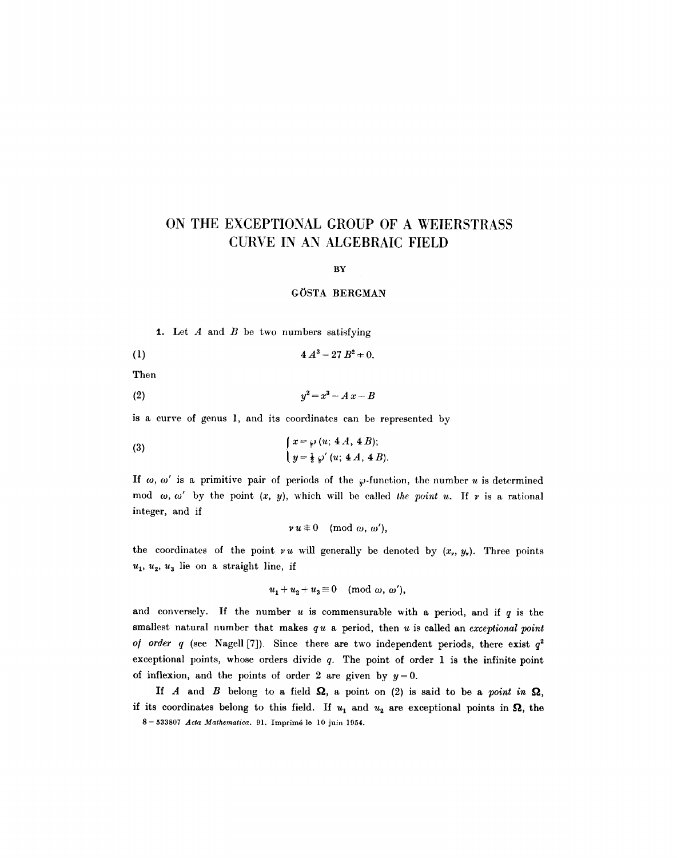# **ON THE EXCEPTIONAL GROUP OF A WEIERSTRASS CURVE IN AN ALGEBRAIC FIELD**

BY

#### GOSTA BERGMAN

**1.** Let  $A$  and  $B$  be two numbers satisfying

(1)  $4 A<sup>3</sup> - 27 B<sup>2</sup> = 0.$ 

Then

$$
(2) \hspace{3.1em} y^2 = x^3 - A x - B
$$

is a curve of genus l, and its coordinates can be represented by

(3) 
$$
\int x = \wp (u; 4A, 4B); \n y = \frac{1}{2} \wp' (u; 4A, 4B).
$$

If  $\omega$ ,  $\omega'$  is a primitive pair of periods of the  $\varphi$ -function, the number u is determined mod  $\omega$ ,  $\omega'$  by the point  $(x, y)$ , which will be called *the point u*. If v is a rational integer, and if

$$
v u \not\equiv 0 \pmod{\omega, \omega'},
$$

the coordinates of the point  $vu$  will generally be denoted by  $(x_v, y_v)$ . Three points  $u_1, u_2, u_3$  lie on a straight line, if

$$
u_1 + u_2 + u_3 \equiv 0 \pmod{\omega, \omega'},
$$

and conversely. If the number  $u$  is commensurable with a period, and if  $q$  is the smallest natural number that makes *q u* a period, then u is called an *exceptional point of order q* (see Nagell [7]). Since there are two independent periods, there exist  $q^2$ exceptional points, whose orders divide  $q$ . The point of order 1 is the infinite point of inflexion, and the points of order 2 are given by  $y=0$ .

If A and B belong to a field  $\Omega$ , a point on (2) is said to be a *point in*  $\Omega$ , if its coordinates belong to this field. If  $u_1$  and  $u_2$  are exceptional points in  $\Omega$ , the 8- 533807 *Acta Mathematica.* 91. Imprim6 le 10 juin 1954.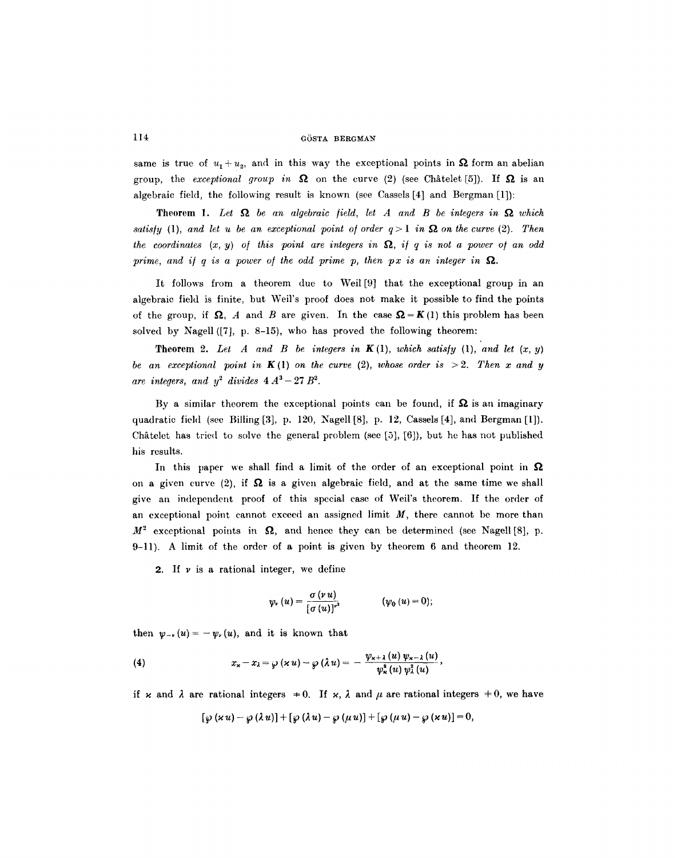same is true of  $u_1 + u_2$ , and in this way the exceptional points in  $\Omega$  form an abelian group, the *exceptional group in*  $\Omega$  on the curve (2) (see Châtelet [5]). If  $\Omega$  is an algebraic field, the following result is known (see Casscls [4] and Bergman [1]):

**Theorem 1.** Let  $\Omega$  be an algebraic field, let A and B be integers in  $\Omega$  which *satisfy* (1), and let u be an exceptional point of order  $q>1$  in  $\Omega$  on the curve (2). Then *the coordinates*  $(x, y)$  of this point are integers in  $\Omega$ , if q is not a power of an odd *prime, and if q is a power of the odd prime p, then px is an integer in*  $\Omega$ .

It follows from a theorem due to Weil [9] that the exceptional group in an algebraic field is finite, but Well's proof does not make it possible to find the points of the group, if  $\Omega$ , A and B are given. In the case  $\Omega = K(1)$  this problem has been solved by Nagell ([7], p. 8-15), who has proved the following theorem:

**Theorem 2.** Let A and B be integers in  $K(1)$ , which satisfy (1), and let  $(x, y)$ *be an exceptional point in*  $K(1)$  *on the curve* (2), *whose order is*  $> 2$ . Then x and y are integers, and  $y^2$  divides  $4 A^3 - 27 B^2$ .

By a similar theorem the exceptional points can be found, if  $\Omega$  is an imaginary quadratic fichl (see Billing [3], p. 120, Nagell [8], p. 12, Cassels [4], and Bergman [l]). Châtelet has tried to solve the general problem (see [5],  $[6]$ ), but he has not published his results.

In this paper we shall find a limit of the order of an exceptional point in  $\Omega$ on a given curve (2), if  $\Omega$  is a given algebraic field, and at the same time we shall give an independent proof of this special case of Weil's theorem. If the order of an exceptional point cannot exceed an assigned limit  $M$ , there cannot be more than  $M^2$  exceptional points in  $\Omega$ , and hence they can be determined (see Nagell [8], p. 9-11). A limit of the order of a point is given by theorem 6 and theorem 12.

2. If  $\nu$  is a rational integer, we define

$$
\psi_{\nu}(u)=\frac{\sigma(\nu u)}{\left[\sigma(u)\right]^{\nu^2}} \qquad (\psi_0(u)=0);
$$

then  $\psi_{-\nu}(u)=-\psi_{\nu}(u)$ , and it is known that

(4) 
$$
x_{\mathsf{x}}-x_{\lambda}=\wp\left(\mathsf{x}\,u\right)-\wp\left(\lambda\,u\right)=-\frac{\psi_{\mathsf{x}+\lambda}\left(u\right)\psi_{\mathsf{x}-\lambda}\left(u\right)}{\psi_{\mathsf{x}}^{\mathsf{x}}\left(u\right)\psi_{\lambda}^{\mathsf{x}}\left(u\right)},
$$

if x and  $\lambda$  are rational integers  $\pm 0$ . If x,  $\lambda$  and  $\mu$  are rational integers  $\pm 0$ , we have

$$
[\wp(xu)-\wp(\lambda u)]+[\wp(\lambda u)-\wp(\mu u)]+[\wp(\mu u)-\wp(xu)]=0,
$$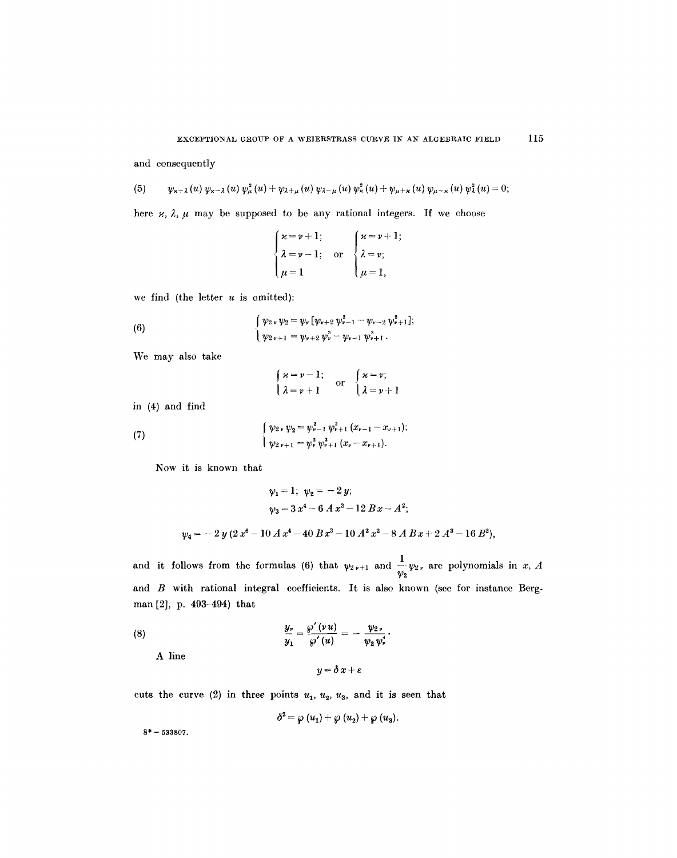and consequently

(5) 
$$
\psi_{x+\lambda}(u)\,\psi_{x-\lambda}(u)\,\psi_{\mu}^2(u)+\psi_{\lambda+\mu}(u)\,\psi_{\lambda-\mu}(u)\,\psi_{\kappa}^2(u)+\psi_{\mu+\kappa}(u)\,\psi_{\mu-\kappa}(u)\,\psi_{\lambda}^2(u)=0;
$$

here  $\varkappa$ ,  $\lambda$ ,  $\mu$  may be supposed to be any rational integers. If we choose

$$
\begin{cases}\n\varkappa = \nu + 1; \\
\lambda = \nu - 1; \text{ or } \begin{cases}\n\varkappa = \nu + 1; \\
\lambda = \nu; \\
\mu = 1.\n\end{cases}\n\end{cases}
$$

we find (the letter  $u$  is omitted):

(6) 
$$
\begin{cases} \psi_2 \cdot \psi_2 = \psi_r \left[ \psi_{r+2} \psi_{r-1}^2 - \psi_{r-2} \psi_{r+1}^2 \right]; \\ \psi_{2r+1} = \psi_{r+2} \psi_r^2 - \psi_{r-1} \psi_{r+1}^3. \end{cases}
$$

We may also take

$$
\begin{cases} \n\varkappa = \nu - 1; \\
\lambda = \nu + 1 \n\end{cases} \n\text{ or } \n\begin{cases} \n\varkappa = \nu; \\
\lambda = \nu + 1 \n\end{cases}
$$

in (4) and find

(7) 
$$
\begin{cases} \psi_{2\nu}\psi_2 = \psi_{\nu-1}^2\psi_{\nu+1}^2(x_{\nu-1}-x_{\nu+1});\\ \psi_{2\nu+1} = \psi_{\nu}^2\psi_{\nu+1}^2(x_{\nu}-x_{\nu+1}). \end{cases}
$$

Now it is known that

$$
\psi_1 = 1; \ \psi_2 = -2 \ y;
$$
  

$$
\psi_3 = 3 \ x^4 - 6 \ A \ x^2 - 12 \ B \ x - A^2;
$$
  

$$
\psi_4 = -2 \ y \ (2 \ x^6 - 10 \ A \ x^4 - 40 \ B \ x^3 - 10 \ A^2 \ x^2 - 8 \ A \ B \ x + 2 \ A^3 - 16 \ B^2),
$$

and it follows from the formulas (6) that  $\psi_{2\,\nu+1}$  and  $\frac{1}{-\,\psi_{2\,\nu}}$  are polynomials in x, A  $\boldsymbol{\mathcal{W}}_{\mathbf{2}}$ and B with rational integral coefficients. It is also known (see for instance Bergman [2], p. 493-494) that

(8) 
$$
\frac{y_{\nu}}{y_1} = \frac{\wp'(vu)}{\wp'(u)} = -\frac{\psi_{2\nu}}{\psi_2\psi_{\nu}^*}.
$$
  
A line 
$$
y = \delta x + \varepsilon
$$

cuts the curve (2) in three points  $u_1, u_2, u_3$ , and it is seen that

$$
\delta^2 = \wp(u_1) + \wp(u_2) + \wp(u_3).
$$

 $8* - 533807.$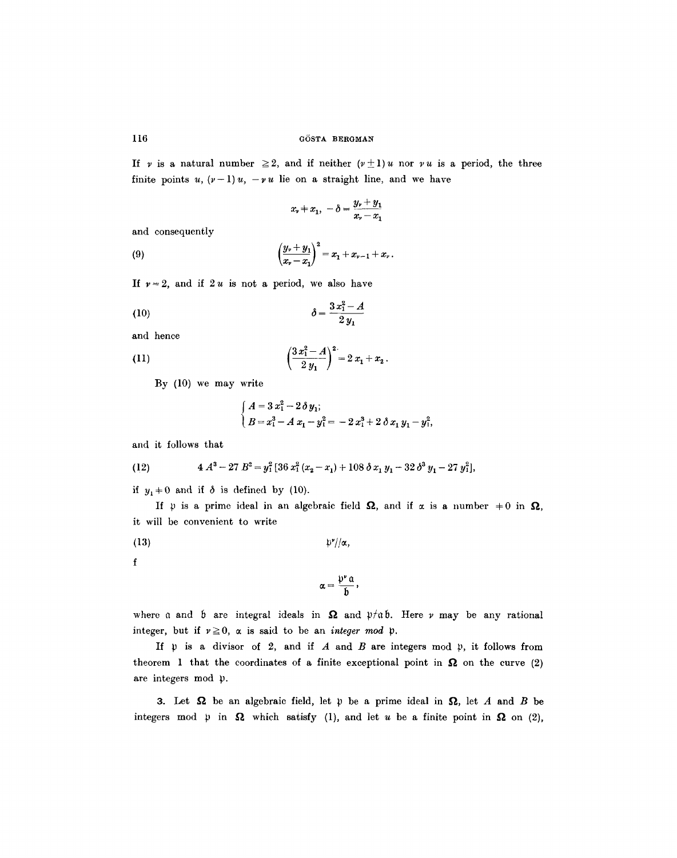If v is a natural number  $\geq 2$ , and if neither  $(\nu \pm 1)u$  nor vu is a period, the three finite points u,  $(\nu-1)u$ ,  $-\nu u$  lie on a straight line, and we have

$$
x_{\nu}+x_1, \ -\delta=\frac{y_{\nu}+y_1}{x_{\nu}-x_1}
$$

and consequently

(9) 
$$
\left(\frac{y_{\nu}+y_1}{x_{\nu}-x_1}\right)^2=x_1+x_{\nu-1}+x_{\nu}.
$$

If  $v=2$ , and if  $2u$  is not a period, we also have

(10) 
$$
\delta = \frac{3 x_1^2 - A}{2 y_1}
$$

and hence

(11) 
$$
\left(\frac{3x_1^2-A}{2y_1}\right)^2=2x_1+x_2.
$$

By (I0) we may write

$$
\begin{cases}\nA = 3 x_1^2 - 2 \delta y_1; \\
B = x_1^3 - A x_1 - y_1^2 = -2 x_1^3 + 2 \delta x_1 y_1 - y_1^2,\n\end{cases}
$$

and it follows that

(12) 
$$
4 A^3 - 27 B^2 = y_1^2 [36 x_1^2 (x_2 - x_1) + 108 \delta x_1 y_1 - 32 \delta^3 y_1 - 27 y_1^2],
$$

if  $y_1 \neq 0$  and if  $\delta$  is defined by (10).

If  $\psi$  is a prime ideal in an algebraic field  $\Omega$ , and if  $\alpha$  is a number  $\neq 0$  in  $\Omega$ , it will be convenient to write

(13) ~'//~,

**f** 

$$
\alpha=\frac{\mathfrak{p}^{\nu}\,\mathfrak{a}}{\mathfrak{b}},
$$

where a and b are integral ideals in  $\Omega$  and  $\nu/\nu$ , Here v may be any rational integer, but if  $v \ge 0$ ,  $\alpha$  is said to be an *integer mod*  $\beta$ .

If  $\psi$  is a divisor of 2, and if A and B are integers mod  $\psi$ , it follows from theorem 1 that the coordinates of a finite exceptional point in  $\Omega$  on the curve (2) are integers mod p.

3. Let  $\Omega$  be an algebraic field, let  $\mathfrak p$  be a prime ideal in  $\Omega$ , let A and B be integers mod  $\uparrow$  in  $\Omega$  which satisfy (1), and let u be a finite point in  $\Omega$  on (2),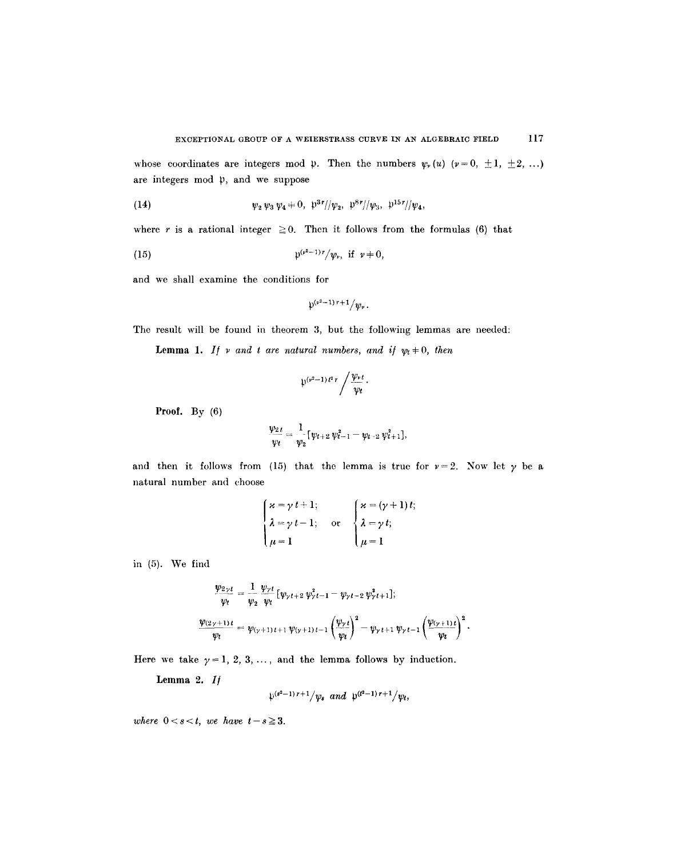whose coordinates are integers mod  $\psi$ . Then the numbers  $\psi_r(u)$  ( $\nu = 0, \pm 1, \pm 2, \ldots$ ) are integers mod  $\mathfrak{p}$ , and we suppose

(14) 
$$
\psi_2 \psi_3 \psi_4 \neq 0, \ \psi_3^{3r}/\psi_2, \ \psi_3^{8r}/\psi_3, \ \psi_1^{15r}/\psi_4,
$$

where r is a rational integer  $\geq 0$ . Then it follows from the formulas (6) that

(15) 
$$
\mathfrak{p}^{(\nu^2-1)r}/\psi_r, \text{ if } \nu \neq 0,
$$

and we shall examine the conditions for

$$
\mathfrak{p}^{(\nu^2-1)\,r+1}/\psi_{\nu}.
$$

The result will be found in theorem 3, but the following lemmas are needed:

**Lemma 1.** *If*  $\nu$  *and t are natural numbers, and if*  $\psi_t \neq 0$ *, then* 

$$
\psi^{(\nu^2-1)\,t^2\,r}\bigg/\frac{\psi_{\nu\,t}}{\psi_t}\,.
$$

Proof. By  $(6)$ 

$$
\frac{\psi_{2,t}}{\psi_t} = \frac{1}{\psi_2} [\psi_{t+2} \, \psi_{t-1}^2 - \psi_{t-2} \, \psi_{t+1}^2],
$$

and then it follows from (15) that the lemma is true for  $\nu=2$ . Now let  $\gamma$  be a natural number and choose

$$
\begin{cases}\n\varkappa = \gamma t + 1; \\
\lambda = \gamma t - 1; \\
\mu = 1\n\end{cases} \quad \text{or} \quad\n\begin{cases}\n\varkappa = (\gamma + 1) t; \\
\lambda = \gamma t; \\
\mu = 1\n\end{cases}
$$

in (5). We find

$$
\frac{\psi_{2\gamma t}}{\psi_t} = \frac{1}{\psi_2} \frac{\psi_{\gamma t}}{\psi_t} [\psi_{\gamma t+2} \psi_{\gamma t-1}^2 - \psi_{\gamma t-2} \psi_{\gamma t+1}^2];
$$
  

$$
\frac{\psi_{(2\gamma+1)t}}{\psi_t} = \psi_{(\gamma+1)t+1} \psi_{(\gamma+1)t-1} \left(\frac{\psi_{\gamma t}}{\psi_t}\right)^2 - \psi_{\gamma t+1} \psi_{\gamma t-1} \left(\frac{\psi_{(\gamma+1)t}}{\psi_t}\right)^2.
$$

Here we take  $\gamma = 1, 2, 3, \ldots$ , and the lemma follows by induction.

Lemma 2. *I/* 

$$
\psi^{(s^2-1)r+1}/\psi_s
$$
 and  $\psi^{(t^2-1)r+1}/\psi_t$ ,

*where*  $0 < s < t$ *, we have*  $t-s \geq 3$ *.*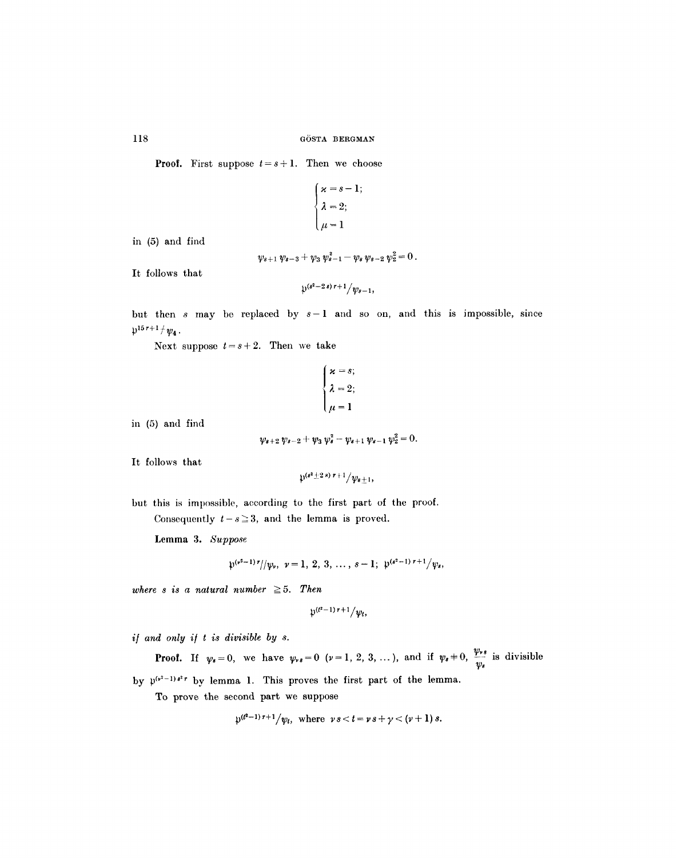**Proof.** First suppose  $t = s + 1$ . Then we choose

$$
\begin{cases} \n\kappa = s - 1 \\ \n\lambda = 2 \\ \n\mu = 1 \n\end{cases}
$$

in (5) and find

$$
\psi_{s+1}\,\psi_{s-3}+\psi_3\,\psi_{s-1}^2-\psi_s\,\psi_{s-2}\,\psi_2^2=0\,.
$$

It follows that

$$
\mathfrak{p}^{(s^2-2s) r+1}/\psi_{s-1},
$$

but then s may be replaced by  $s-1$  and so on, and this is impossible, since  $\mathfrak{p}^{15r+1}/\psi_4$ .

Next suppose  $t = s + 2$ . Then we take

$$
\begin{cases} \n\mathbf{x} = s; \\ \n\lambda = 2; \\ \n\mu = 1 \n\end{cases}
$$

in (5) and find

$$
\psi_{s+2}\,\psi_{s-2}+\psi_3\,\psi_s^2-\psi_{s+1}\,\psi_{s-1}\,\psi_2^2=0.
$$

It follows that

$$
\mathfrak{p}^{(s^2\pm 2\,s)\,r+1}/\psi_{s\pm 1},
$$

but this is impossible, according to the first part of the proof. Consequently  $t-s\geq 3$ , and the lemma is proved.

Lemma 3. *Suppose* 

$$
\mathfrak{p}^{(\nu^2-1)\,r}/\!/\psi_{\nu}, \ \nu=1, 2, 3, \ldots, s-1; \ \mathfrak{p}^{(s^2-1)\,r+1}/\psi_{s},
$$

*where s is a natural number*  $\geq 5$ . Then

$$
\mathfrak{p}^{(t^2-1)\,r+1}/\psi_t,
$$

*i/ and only i/ t is divisible by s.* 

**Proof.** If  $\psi_s=0$ , we have  $\psi_{\nu s}=0$   $(\nu=1, 2, 3, ...)$ , and if  $\psi_s=0$ ,  $\frac{\psi_{\nu s}}{\psi_s}$  is divisible by  $\psi^{(r^2-1)s^2r}$  by lemma 1. This proves the first part of the lemma.

To prove the second part we suppose

$$
\psi^{(l^2-1) r+1} / \psi_t
$$
, where  $\nu s < t = \nu s + \gamma < (\nu + 1) s$ .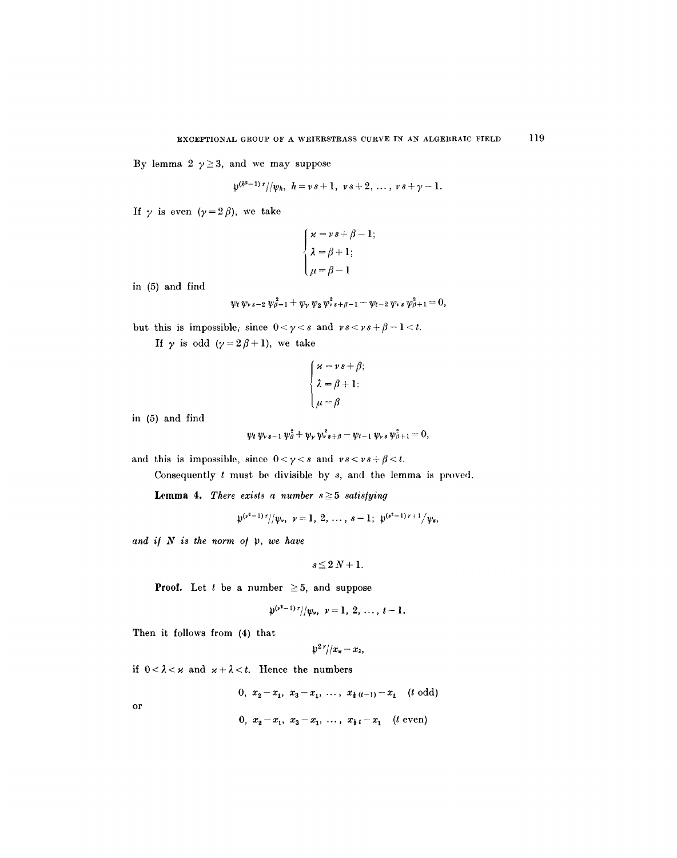By lemma 2  $\gamma \geq 3$ , and we may suppose

$$
\mathfrak{p}^{(h^2-1)\,r}/|\psi_h,\,\,h=\nu\,s+1,\ \, \nu\,s+2,\,\ldots\,,\,\nu\,s+\gamma-1.
$$

If  $\gamma$  is even  $(\gamma = 2 \beta)$ , we take

$$
\begin{cases} \n\varkappa = \nu \, s + \beta - 1; \\
\lambda = \beta + 1; \\
\mu = \beta - 1 \n\end{cases}
$$

in (5) and find

$$
\psi_t \,\psi_{\nu\,s-2}\,\psi_{\beta-1}^{\,2} + \psi_{\nu}\,\psi_2\,\psi_{\nu\,s+\beta-1}^{\,2} - \psi_{t-2}\,\psi_{\nu\,s}\,\psi_{\beta+1}^{\,2} = 0,
$$

but this is impossible, since  $0 < \gamma < s$  and  $\gamma s < \gamma s + \beta - 1 < t$ .

If  $\gamma$  is odd  $(\gamma=2\,\beta+1)$ , we take

$$
\begin{cases} \n\varkappa = \nu \, s + \beta; \\
\lambda = \beta + 1; \\
\mu = \beta \n\end{cases}
$$

in (5) and find

$$
\psi_t \,\psi_{\nu\,s-1} \,\psi_\beta^2 + \psi_\nu \,\psi_{\nu\,s+\beta}^2 - \psi_{t-1} \,\psi_{\nu\,s} \,\psi_{\beta+1}^2 = 0,
$$

and this is impossible, since  $0 < \gamma < s$  and  $\gamma s < \gamma s + \beta < t$ .

Consequently  $t$  must be divisible by  $s$ , and the lemma is proved.

Lemma 4. *There exists a number*  $s \geq 5$  satisfying

$$
\mathfrak{p}^{(\nu^2-1)\,r}/\big/\psi_{\nu},\ \nu=1,\ 2,\ \ldots\ ,\ s-1;\ \mathfrak{p}^{(s^2-1)\,r+1}\big/\psi_{s},
$$

and if  $N$  is the norm of  $\mathfrak p$ , we have

$$
s\!\leq\!2\,N\!+1.
$$

**Proof.** Let t be a number  $\geq 5$ , and suppose

$$
\psi^{(\nu^2-1)\nu}/\!/\psi_{\nu}, \ \nu=1, \ 2, \ \ldots, \ t-1.
$$

Then it follows from (4) that

$$
\mathfrak{p}^2\sqrt[r]{|x_{\mathbf{x}}-x_{\lambda}|}
$$

if  $0 < \lambda < \varkappa$  and  $\varkappa + \lambda < t$ . Hence the numbers

0,  $x_2-x_1$ ,  $x_3-x_1$ , ...,  $x_{\frac{1}{2}(t-1)}-x_1$  (*t* odd)

or

0, 
$$
x_2 - x_1
$$
,  $x_3 - x_1$ , ...,  $x_{t} - x_1$  (*t* even)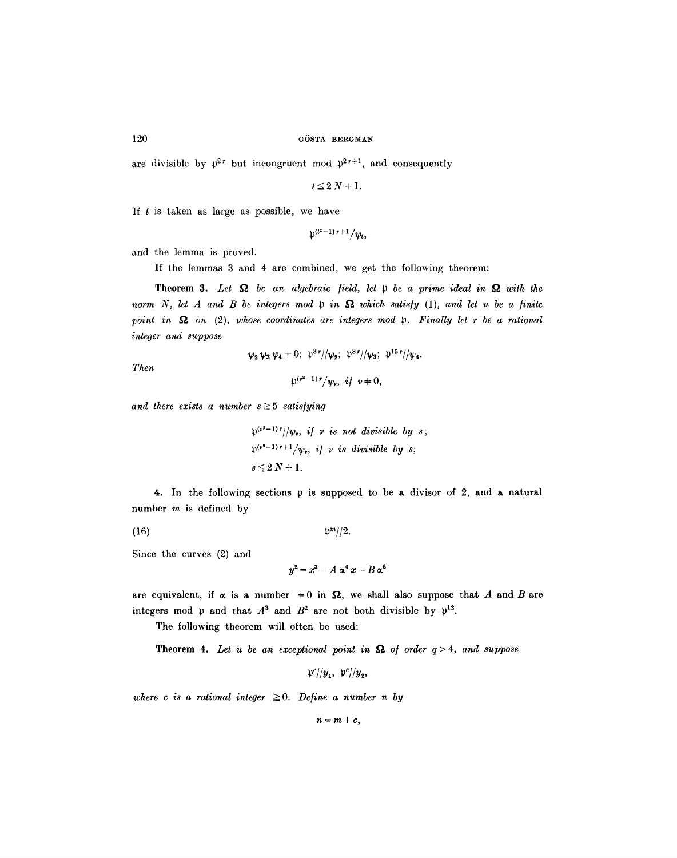are divisible by  $\mathfrak{p}^{2r}$  but incongruent mod  $\mathfrak{p}^{2r+1}$ , and consequently

 $t \le 2N + 1$ .

If  $t$  is taken as large as possible, we have

 $\psi^{(l^2-1) r+1} / \psi_l$ 

and the lemma is proved.

If the lemmas 3 and 4 are combined, we get the following theorem:

**Theorem 3.** Let  $\Omega$  be an algebraic field, let  $\mathfrak p$  be a prime ideal in  $\Omega$  with the *norm* N, let A and B be integers mod  $\mathfrak p$  in  $\Omega$  which satisfy (1), and let u be a finite *Toint in*  $\Omega$  on (2), whose coordinates are integers mod p. Finally let r be a rational *integer and suppose* 

 $\psi_2 \psi_3 \psi_4 = 0; \psi_3 \psi_7/\psi_2; \psi_3 \psi_7/\psi_3; \psi_1 \psi_1 \psi_4.$ 

*Then* 

$$
\psi^{(\nu^2-1)r}/w_{\nu}, \text{ if } \nu \neq 0,
$$

and there exists a number  $s \geq 5$  satisfying

$$
\mathfrak{p}^{(\nu^2-1)r}/|\psi_r, \text{ if } \nu \text{ is not divisible by } s;
$$
  

$$
\mathfrak{p}^{(\nu^2-1)r+1}/\psi_r, \text{ if } \nu \text{ is divisible by } s;
$$
  

$$
s \le 2N+1.
$$

4. In the following sections  $\mathfrak p$  is supposed to be a divisor of 2, and a natural number  $m$  is defined by

(16)  $\frac{m}{2}$ .

Since the curves (2) and

$$
y^2 = x^3 - A \alpha^4 x - B \alpha^6
$$

are equivalent, if  $\alpha$  is a number  $\neq 0$  in  $\Omega$ , we shall also suppose that A and B are integers mod  $\psi$  and that  $A^3$  and  $B^2$  are not both divisible by  $\psi^{12}$ .

The following theorem will often be used:

**Theorem 4.** Let u be an exceptional point in  $\Omega$  of order  $q > 4$ , and suppose

 $p^{c}/|y_{1}, y_{2}|/y_{2},$ 

*where c is a rational integer*  $\geq 0$ *. Define a number n by* 

 $n = m + c$ ,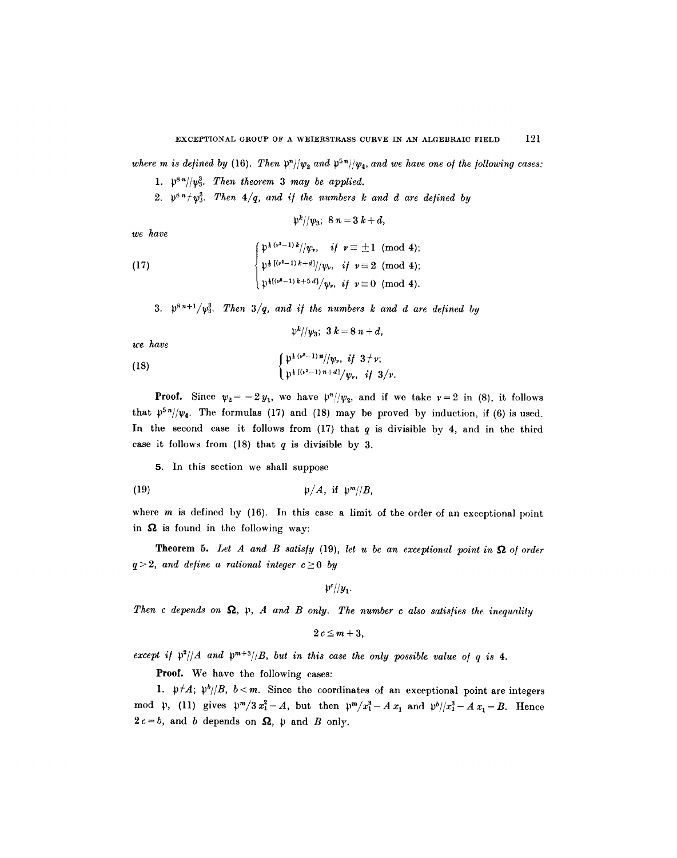where *m* is defined by (16). Then  $\mathfrak{p}^n/|\mathfrak{p}_2|$  and  $\mathfrak{p}^5$ <sup>5</sup> $\mathfrak{p}/|\mathfrak{p}_4|$ , and we have one of the following cases:

- 1.  $\mathfrak{p}^{8n}/\langle \mathfrak{p}_3^3$ . Then theorem 3 may be applied.
- 2.  $\mathfrak{p}^{8n} \mathfrak{p}^{3}$ . Then  $4/q$ , and if the numbers k and d are defined by

$$
\mathfrak{p}^k/\mathfrak{p}_3;\ 8\,n=3\,k+d,
$$

*We have* 

(17)  

$$
\begin{cases}\n\psi^{\frac{1}{8}(\nu^2-1)k}/\psi_{\nu}, & \text{if } \nu \equiv \pm 1 \pmod{4}; \\
\psi^{\frac{1}{8}[(\nu^2-1)k+d]}/\psi_{\nu}, & \text{if } \nu \equiv 2 \pmod{4}; \\
\psi^{\frac{1}{8}[(\nu^2-1)k+5d]}/\psi_{\nu}, & \text{if } \nu \equiv 0 \pmod{4}.\n\end{cases}
$$

3.  $\mathfrak{p}^{8n+1}/\mathfrak{p}_3^3$ . Then  $3/q$ , and if the numbers k and d are defined by

 $\mathfrak{p}^k/\mathfrak{p}_3$ ;  $3k=8n+d$ ,

*we have* 

(18) 
$$
\begin{cases} \psi^{\frac{1}{2}(v^2-1)n}/\psi_v, & \text{if } 3 \neq v; \\ \psi^{\frac{1}{2}[(v^2-1)n+d]}/\psi_v, & \text{if } 3/v. \end{cases}
$$

**Proof.** Since  $\psi_2 = -2y_1$ , we have  $\psi''/\psi_2$ , and if we take  $\nu = 2$  in (8), it follows that  $p^{5n}/\psi_4$ . The formulas (17) and (18) may be proved by induction, if (6) is used. In the second case it follows from  $(17)$  that q is divisible by 4, and in the third case it follows from  $(18)$  that q is divisible by 3.

5. In this section we shall suppose

$$
\mathfrak{p}/A, \text{ if } \mathfrak{p}^m/\mathfrak{B},
$$

where  $m$  is defined by (16). In this case a limit of the order of an exceptional point in  $\Omega$  is found in the following way:

**Theorem 5.** Let  $A$  and  $B$  satisfy (19), let  $u$  be an exceptional point in  $\Omega$  of order  $q > 2$ *, and define a rational integer*  $c \ge 0$  *by* 

 $\mathfrak{p}^c/\mathcal{y}_1$ .

Then c depends on  $\Omega$ ,  $\mathfrak{p}$ , A and B only. The number c also satisfies the inequality

$$
2c\leq m+3,
$$

*except if*  $\mathfrak{p}^2/|A|$  and  $\mathfrak{p}^{m+3}/|B|$ , but in this case the only possible value of q is 4.

Proof. We have the following cases:

1.  $\mathfrak{p}^t A$ ;  $\mathfrak{p}^b / B$ ,  $b < m$ . Since the coordinates of an exceptional point are integers mod  $\mathfrak{p}$ , (11) gives  $\mathfrak{p}^m/3x_1^2-A$ , but then  $\mathfrak{p}^m/x_1^3-Ax_1$  and  $\mathfrak{p}^b/|x_1^3-Ax_1-B$ . Hence  $2c=b$ , and b depends on  $\Omega$ ,  $\psi$  and B only.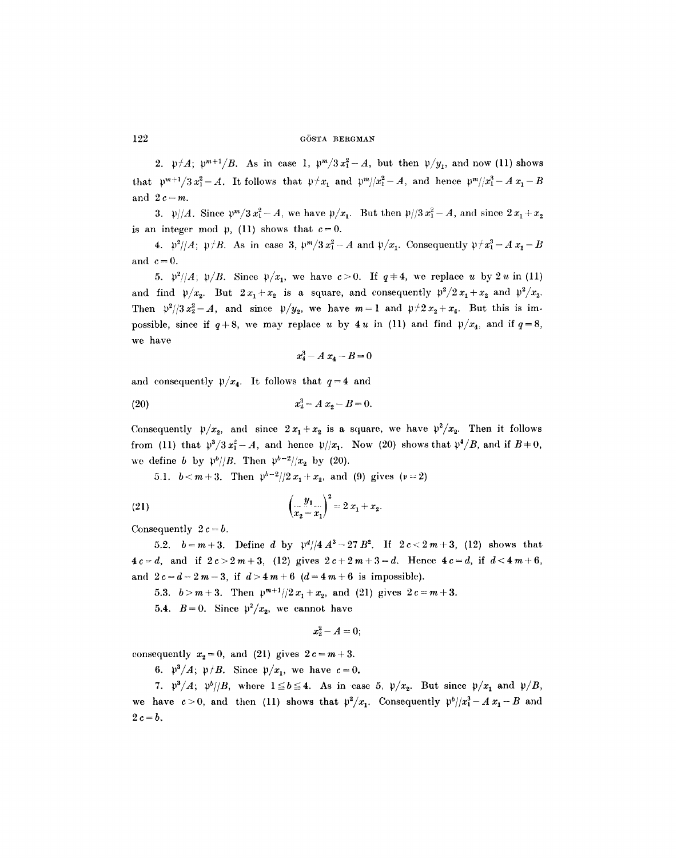2.  $\mathfrak{p} \nmid A; \mathfrak{p}^{m+1}/B$ . As in case 1,  $\mathfrak{p}^m/3x_1^2-A$ , but then  $\mathfrak{p}/y_1$ , and now (11) shows that  $\psi^{m+1}/3x_1^2-A$ . It follows that  $\psi/x_1$  and  $\psi^m/(x_1^2-A)$ , and hence  $\psi^m/(x_1^3-A)x_1-B$ and  $2 c = m$ .

3.  $\frac{\gamma}{A}$ . Since  $\frac{\gamma}{A}$  and  $x_1^2 - A$ , we have  $\frac{\gamma}{x_1}$ . But then  $\frac{\gamma}{3}x_1^2 - A$ , and since  $2x_1 + x_2$ is an integer mod  $\mathfrak{p}$ , (11) shows that  $c=0$ .

4.  $\mathfrak{p}^2/|A; \mathfrak{p}/B$ . As in case 3,  $\mathfrak{p}^m/3x_1^2-A$  and  $\mathfrak{p}/x_1$ . Consequently  $\mathfrak{p}/x_1^3-Ax_1-B$ and  $c = 0$ .

5.  $\mathfrak{p}^2/|A; \mathfrak{p}/B$ . Since  $\mathfrak{p}/x_1$ , we have  $c>0$ . If  $q\neq 4$ , we replace u by 2u in (11) and find  $\mathfrak{p}/x_2$ . But  $2x_1+x_2$  is a square, and consequently  $\mathfrak{p}^2/2x_1+x_2$  and  $\mathfrak{p}^2/x_2$ . Then  $p^2/3x_2^2-A$ , and since  $p/y_2$ , we have  $m=1$  and  $p/2x_2+x_4$ . But this is impossible, since if  $q+8$ , we may replace u by 4u in (11) and find  $\psi/x_4$ , and if  $q=8$ , we have

$$
x_4^3 - A x_4 - B = 0
$$

and consequently  $\mathfrak{p}/x_4$ . It follows that  $q=4$  and

(20) 
$$
x_2^3 - A x_2 - B = 0.
$$

Consequently  $\mathfrak{p}/x_2$ , and since  $2x_1 + x_2$  is a square, we have  $\mathfrak{p}^2/x_2$ . Then it follows from (11) that  $p^3/3x_1^2-A$ , and hence  $p/|x_1|$ . Now (20) shows that  $p^4/B$ , and if  $B=0$ , we define b by  $\frac{p^b}{B}$ . Then  $\frac{p^{b-2}}{x_2}$  by (20).

5.1.  $b < m+3$ . Then  $p^{b-2}/2x_1+x_2$ , and (9) gives ( $v=2$ )

(21) 
$$
\left(\frac{y_1}{x_2-x_1}\right)^2=2x_1+x_2.
$$

Consequently  $2c = b$ .

5.2.  $b=m+3$ . Define d by  $\frac{\mu d}{4A^3}-27B^2$ . If  $2c<2m+3$ , (12) shows that  $4c = d$ , and if  $2c > 2m+3$ , (12) gives  $2c+2m+3=d$ . Hence  $4c=d$ , if  $d < 4m+6$ , and  $2c=d-2m-3$ , if  $d>4m+6$   $(d=4m+6$  is impossible).

5.3.  $b > m+3$ . Then  $\frac{p^{m+1}}{2}x_1+x_2$ , and (21) gives  $2c = m+3$ .

5.4.  $B=0$ . Since  $p^2/x_2$ , we cannot have

$$
x_2^2 - A = 0;
$$

consequently  $x_2=0$ , and (21) gives  $2c=m+3$ .

6.  $\mathfrak{p}^3/A$ ;  $\mathfrak{p}/B$ . Since  $\mathfrak{p}/x_1$ , we have  $c=0$ .

7.  $\mathfrak{p}^3/A$ ;  $\mathfrak{p}^b/\mathfrak{B}$ , where  $1 \leq b \leq 4$ . As in case 5,  $\mathfrak{p}/x_2$ . But since  $\mathfrak{p}/x_1$  and  $\mathfrak{p}/B$ , we have  $c>0$ , and then (11) shows that  $p^2/x_1$ . Consequently  $p^b/|x_1^3 - A x_1 - B$  and  $2c=b$ .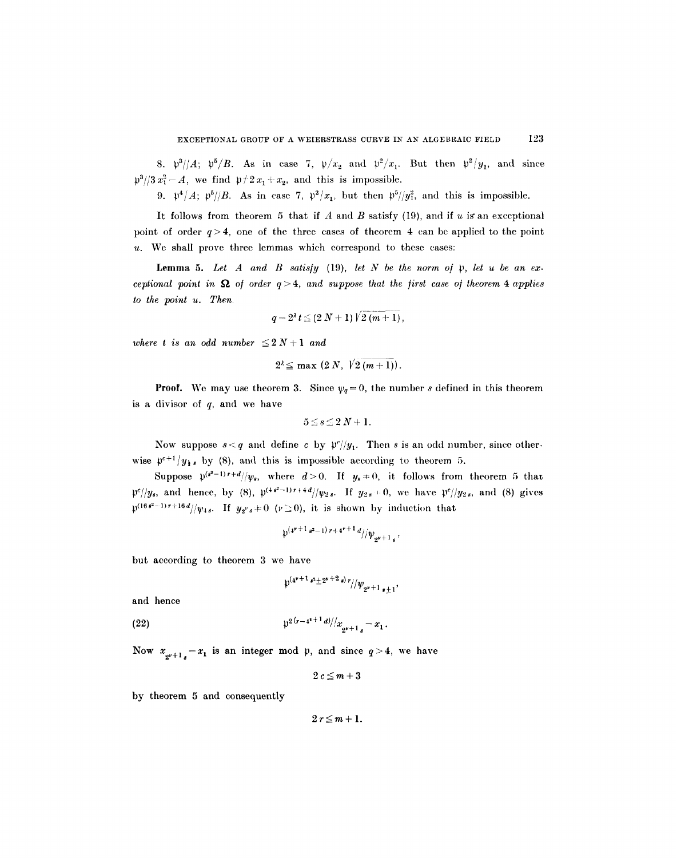8.  $\mathfrak{p}^3/4$ ;  $\mathfrak{p}^5/B$ . As in case 7,  $\mathfrak{p}/x_2$  and  $\mathfrak{p}^2/x_1$ . But then  $\mathfrak{p}^2/y_1$ , and since  $\mathfrak{p}^3/3 x_1^2 - A$ , we find  $\mathfrak{p}^2/2 x_1 + x_2$ , and this is impossible.

*9.*  $\mathfrak{p}^4/A$ ;  $\mathfrak{p}^5/\mathfrak{B}$ . As in case 7,  $\mathfrak{p}^2/x_1$ , but then  $\mathfrak{p}^5/\mathfrak{y}_1^2$ , and this is impossible.

It follows from theorem 5 that if  $A$  and  $B$  satisfy (19), and if  $u$  is an exceptional point of order  $q>4$ , one of the three cases of theorem 4 can be applied to the point  $u$ . We shall prove three lemmas which correspond to these cases:

Lemma 5. Let  $A$  and  $B$  satisfy (19), let  $N$  be the norm of  $\mathfrak p$ , let  $u$  be an ex*ceptional point in*  $\Omega$  *of order*  $q > 4$ *, and suppose that the first case of theorem 4 applies to the point u. Then* 

$$
q = 2^{\lambda} t \leq (2 N + 1) \sqrt{2 (m + 1)},
$$

*where t is an odd number*  $\leq 2 N + 1$  *and* 

$$
2^{\lambda} \leq \max (2 N, \sqrt{2 (m+1)}).
$$

**Proof.** We may use theorem 3. Since  $\psi_q = 0$ , the number s defined in this theorem is a divisor of  $q$ , and we have

$$
5\leq s\leq 2N+1.
$$

Now suppose  $s < q$  and define c by  $\frac{p^r}{y_1}$ . Then s is an odd number, since otherwise  $\mathfrak{p}^{c+1}/y_{k}$  by (8), and this is impossible according to theorem 5.

Suppose  $p^{(s^2-1)r+d}/y_s$ , where  $d>0$ . If  $y_s \neq 0$ , it follows from theorem 5 that *p*<sup>*c</sup>*//*y<sub>s</sub>*, and hence, by (8),  $\psi^{(4s^2-1)r+4d}/\psi_{2s}$ . If  $y_{2s}=0$ , we have  $\psi^{c}/y_{2s}$ , and (8) gives</sup>  $\mathfrak{p}^{(16s^2-1)r+16d}/\mathfrak{p}_{4s}$ . If  $y_{2^rs}+0$  ( $r\geq 0$ ), it is shown by induction that

$$
\psi^{(4^{v+1} s^2-1) r+4^{v+1} d}/\psi_{s^v+1} ,
$$

but according to theorem 3 we have

$$
\psi^{(4^{\nu+1} s^2 \pm 2^{\nu+2} s) r} / / \psi_{2^{\nu+1} s \pm 1},
$$

and hence

(22) 
$$
\mathfrak{p}^{2(r-4^{v+1}d)/x} x_{2^{v+1}s} - x_1.
$$

Now  $x_{2+1} - x_1$  is an integer mod  $\mu$ , and since  $q > 4$ , we have

$$
2\,c\leq m+3
$$

by theorem 5 and consequently

 $2r\leq m+1$ .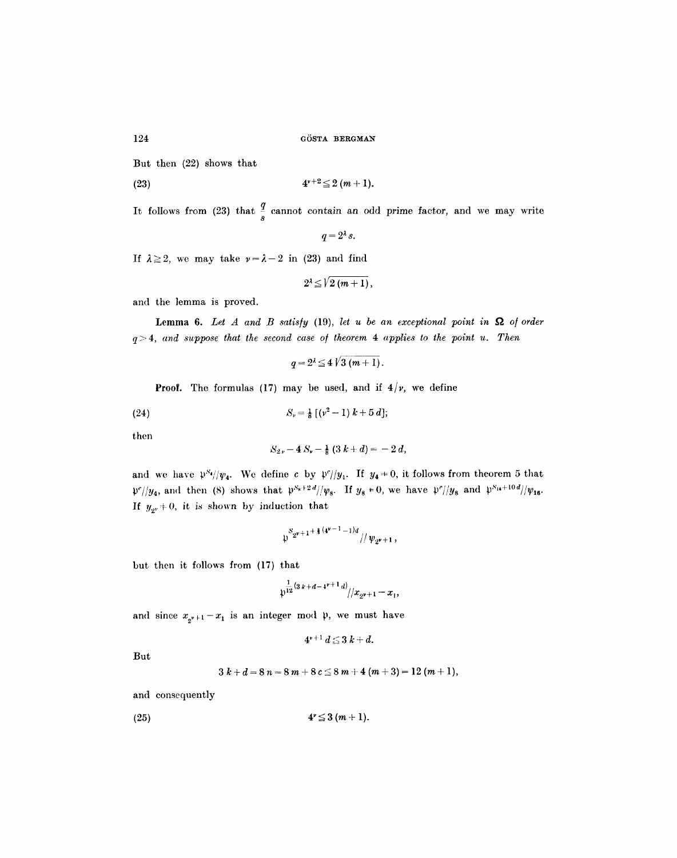But then (22) shows that

(23) 
$$
4^{\nu+2} \leq 2 (m+1).
$$

It follows from (23) that  $\frac{3}{s}$  cannot contain an odd prime factor, and we may write

$$
q=2^{\lambda}s.
$$

If  $\lambda \geq 2$ , we may take  $\nu = \lambda - 2$  in (23) and find

$$
2^{\lambda}\leq\sqrt{l}\left( m+1\right) ,
$$

and the lemma is proved.

**Lemma 6.** Let  $A$  and  $B$  satisfy (19), let  $u$  be an exceptional point in  $\Omega$  of order  $q > 4$ , and suppose that the second case of theorem  $4$  applies to the point  $u$ . Then

$$
q=2^{\lambda}\leq 4\sqrt{3(m+1)}.
$$

**Proof.** The formulas (17) may be used, and if  $4/v$ , we define

(24) 
$$
S_{\nu} = \frac{1}{8} [(\nu^2 - 1) k + 5 d];
$$

then

$$
S_{2v}-4\,S_v-\tfrac{1}{8}\,(3\,k+d)=-\,2\,d,
$$

and we have  $p^{S_4}//v_4$ . We define c by  $p^{c}//y_1$ . If  $y_4 \neq 0$ , it follows from theorem 5 that  $p^2}{y_4}$ , and then (8) shows that  $p^{S_k+2d}/\psi_8$ . If  $y_8=0$ , we have  $p^2}{y_8}$  and  $p^{S_{16}+10d}/\psi_{16}$ . If  $y_{2^r} \neq 0$ , it is shown by induction that

$$
\mathfrak{p}^{S_{2^{\nu}+1}+\frac{2}{3}(4^{\nu-1}-1)d}/\sqrt{\psi_{2^{\nu}+1}},
$$

but then it follows from (17) that

$$
\mathfrak{p}^{\frac{1}{12}\left(3\,k+d-4^{v+1}\,d\right)}/\big/x_{2^{v+1}}-x_1,
$$

and since  $x_{2^{\nu+1}}-x_1$  is an integer mod  $\mu$ , we must have

$$
4^{\nu+1} d \leq 3k+d.
$$

**But** 

$$
3 k + d = 8 n = 8 m + 8 c \leq 8 m + 4 (m + 3) = 12 (m + 1),
$$

and consequently

(25) 4"\_~3 (m+ 1).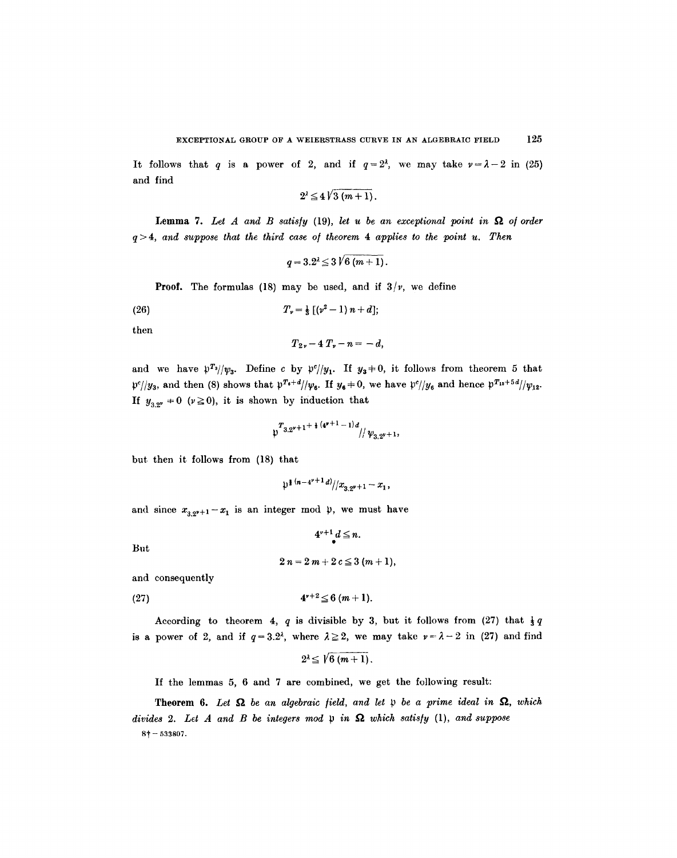It follows that q is a power of 2, and if  $q=2^{\lambda}$ , we may take  $\nu=\lambda-2$  in (25) and find

$$
2^{\lambda} \leq 4\sqrt{3(m+1)}.
$$

Lemma 7. Let  $A$  and  $B$  satisfy (19), let  $u$  be an exceptional point in  $\Omega$  of order  $q > 4$ , and suppose that the third case of theorem 4 applies to the point  $u$ . Then

$$
q = 3.2^{\lambda} \leq 3 \sqrt{6 (m+1)}.
$$

**Proof.** The formulas (18) may be used, and if  $3/v$ , we define

(26) 
$$
T_{\nu} = \frac{1}{3} [(\nu^2 - 1) n + d];
$$

then

$$
T_{2\nu}-4T_{\nu}-n=-d,
$$

and we have  $p^{T_3}//v_3$ . Define c by  $p^{c}//y_1$ . If  $y_3 \neq 0$ , it follows from theorem 5 that  $p^{c}/y_3$ , and then (8) shows that  $p^{T_s+d}/y_6$ . If  $y_6 \neq 0$ , we have  $p^{c}/y_6$  and hence  $p^{T_{12}+5d}/y_{12}$ . If  $y_{3.2^{\nu}} \neq 0$  ( $\nu \ge 0$ ), it is shown by induction that

$$
\mathfrak{p}^{T_{3,2^{\nu+1}}+\frac{1}{8}(\mathfrak{q}^{\nu+1}-1)d}/\mathfrak{p}_{3,2^{\nu+1}},
$$

but then it follows from (18) that

$$
\mathfrak{p}^{\frac{1}{2}(n-4^{\nu+1}d)}/x_{3.2^{\nu+1}}-x_1,
$$

and since  $x_{3,2^{r+1}}-x_1$  is an integer mod  $\mu$ , we must have

But

$$
2 n = 2 m + 2 c \leq 3 (m + 1),
$$

 $4^{v+1}d\leq n.$ 

and consequently

$$
(27) \t\t\t 4r+2 \le 6 (m+1).
$$

According to theorem 4, q is divisible by 3, but it follows from (27) that  $\frac{1}{3}q$ is a power of 2, and if  $q=3.2<sup>\lambda</sup>$ , where  $\lambda \ge 2$ , we may take  $\nu = \lambda - 2$  in (27) and find

$$
2^{\lambda} \leq \sqrt{\frac{6}{m+1}}.
$$

If the lemmas 5, 6 and 7 are combined, we get the following result:

**Theorem 6.** Let  $\Omega$  be an algebraic field, and let  $\mathfrak p$  be a prime ideal in  $\Omega$ , which *divides 2. Let A and B be integers mod p in*  $\Omega$  *which satisfy (1), and suppose*  $8+- 533807.$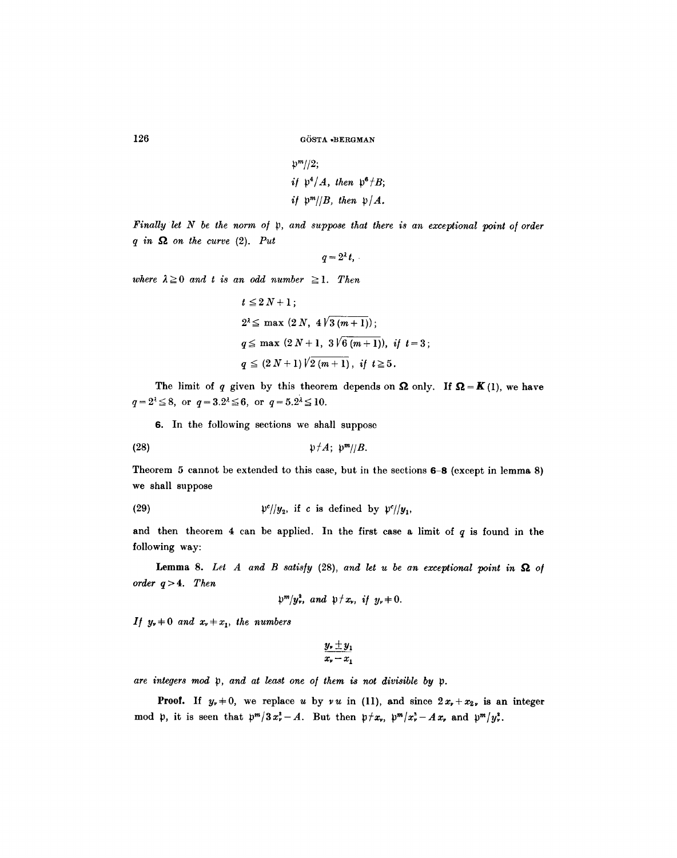$$
\mathfrak{p}^m/\mathfrak{p}
$$
  
if 
$$
\mathfrak{p}^4/A
$$
, then 
$$
\mathfrak{p}^6/B
$$
  
if 
$$
\mathfrak{p}^m/\mathfrak{p}
$$
, then 
$$
\mathfrak{p}/A
$$
.

*Finally let N be the norm of p, and suppose that there is an exceptional point of order*  $q$  in  $\Omega$  on the curve (2). Put

$$
q=2^{\lambda}t,
$$

*where*  $\lambda \geq 0$  *and t is an odd number*  $\geq 1$ *. Then* 

$$
t \le 2 N + 1;
$$
  
\n
$$
2^{2} \le \max (2 N, 4 \sqrt{3 (m+1)});
$$
  
\n
$$
q \le \max (2 N + 1, 3 \sqrt{6 (m+1)}), \text{ if } t = 3;
$$
  
\n
$$
q \le (2 N + 1) \sqrt{2 (m+1)}, \text{ if } t \ge 5.
$$

The limit of q given by this theorem depends on  $\Omega$  only. If  $\Omega = K(1)$ , we have  $q=2^{\lambda} \leq 8$ , or  $q=3.2^{\lambda} \leq 6$ , or  $q=5.2^{\lambda} \leq 10$ .

6. In the following sections we shall suppose

$$
\mathfrak{p}\nmid A;\;\mathfrak{p}^m/\mathfrak{p}.
$$

Theorem 5 cannot be extended to this case, but in the sections  $6-8$  (except in lemma 8) we shall suppose

(29) 
$$
\mathfrak{p}^c/\mathfrak{y}_2, \text{ if } c \text{ is defined by } \mathfrak{p}^c/\mathfrak{y}_1,
$$

and then theorem 4 can be applied. In the first case a limit of  $q$  is found in the following way:

**Lemma 8.** Let A and B satisfy  $(28)$ , and let u be an exceptional point in  $\Omega$  of *order q > 4. Then* 

$$
\mathfrak{p}^m/y^3, \ \text{and} \ \mathfrak{p} \nmid x_r, \ \text{if} \ \ y_r \nmid 0.
$$

*If*  $y_r + 0$  and  $x_r + x_1$ , the numbers

$$
\frac{y_{\nu} \pm y_1}{x_{\nu} - x_1}
$$

are integers mod p, and at least one of them is not divisible by p.

**Proof.** If  $y_r + 0$ , we replace u by vu in (11), and since  $2x_r + x_2$ , is an integer mod p, it is seen that  $p^m/3x_r^2-A$ . But then  $p\neq x_r$ ,  $p^m/x_r^3-Ax_r$  and  $p^m/y_r^3$ .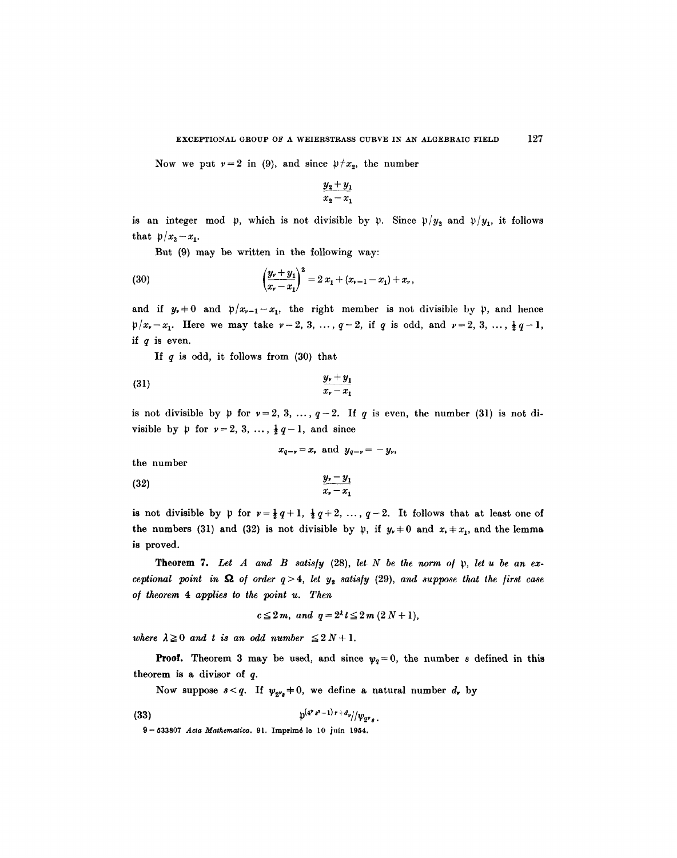Now we put  $\nu=2$  in (9), and since  $\nu \neq x_2$ , the number

$$
\frac{y_2+y_1}{x_2-x_1}
$$

is an integer mod  $\mathfrak{p}$ , which is not divisible by  $\mathfrak{p}$ . Since  $\mathfrak{p}/y_2$  and  $\mathfrak{p}/y_1$ , it follows that  $p/x_2-x_1$ .

But (9) may be written in the following way:

(30) 
$$
\left(\frac{y_r + y_1}{x_r - x_1}\right)^2 = 2 x_1 + (x_{r-1} - x_1) + x_r,
$$

and if  $y_r=0$  and  $p/x_{r-1}-x_1$ , the right member is not divisible by  $p$ , and hence  $p/x_v - x_1$ . Here we may take  $v = 2, 3, ..., q-2$ , if q is odd, and  $v = 2, 3, ..., \frac{1}{2}q-1$ , if  $q$  is even.

If  $q$  is odd, it follows from  $(30)$  that

$$
\frac{y_{\nu}+y_1}{x_{\nu}-x_1}
$$

is not divisible by  $\mathfrak p$  for  $\mathfrak v=2,3,\ldots, q-2$ . If q is even, the number (31) is not divisible by  $\mathfrak p$  for  $\mathfrak v=2, 3, \ldots, \frac{1}{2}q-1$ , and since

$$
x_{q-\nu} = x_{\nu} \text{ and } y_{q-\nu} = -y_{\nu},
$$
 the number  
(32) 
$$
\frac{y_{\nu} - y_1}{}
$$

is not divisible by  $\mathfrak p$  for  $\mathfrak v=\frac{1}{2}q+1$ ,  $\frac{1}{2}q+2$ , ...,  $q-2$ . It follows that at least one of the numbers (31) and (32) is not divisible by  $\mathfrak{p}$ , if  $y_* \neq 0$  and  $x_* \neq x_1$ , and the lemma is proved.

 $x_{\nu}-x_{1}$ 

Theorem 7. Let A and B satisfy (28), let N be the norm of p, let u be an ex*ceptional point in*  $\Omega$  *of order q>4, let y<sub>2</sub> satisfy (29), and suppose that the first case o/ theorem 4 applies to the point u. Then* 

$$
c\leq 2m, \ and \ q=2^{\lambda}t\leq 2m\ (2\ N+1),
$$

*where*  $\lambda \geq 0$  *and t is an odd number*  $\leq 2 N + 1$ .

**Proof.** Theorem 3 may be used, and since  $\psi_q = 0$ , the number s defined in this theorem is a divisor of q.

Now suppose  $s < q$ . If  $\psi_{2^{\nu} s} \neq 0$ , we define a natural number  $d_r$  by

(33) 
$$
p^{(4^{v}s^{2}-1)r+d_{v}}/|\psi_{2^{v}s}|
$$

9-533807 *Acta Mathematica.* 91. Imprim6 le l0 juin 1954.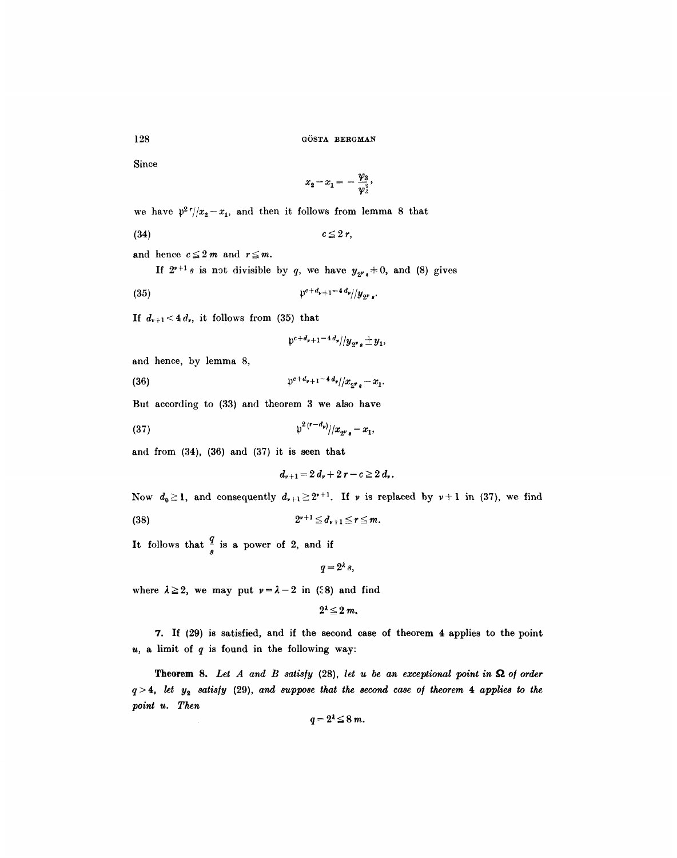Since

128

$$
x_2 - x_1 = -\frac{\psi_3}{\psi_2^3},
$$

we have  $p^2 r / (x_2 - x_1)$ , and then it follows from lemma 8 that

$$
(34) \t\t\t c \leq 2 r,
$$

and hence  $c \leq 2m$  and  $r \leq m$ .

If  $2^{r+1}s$  is not divisible by q, we have  $y_{2^r*} \neq 0$ , and (8) gives

(35) pe+d~+ 1-4 *d,//y2v ,"* 

If  $d_{v+1} < 4 d_v$ , it follows from (35) that

$$
\mathfrak{p}^{c+d_{\nu+1}-4\,d_{\nu}}/y_{\mathfrak{p}\nu_{\mathfrak{s}}} \pm y_1,
$$

and hence, by lemma 8,

(36)  $\int_0^{c+d_v+1-4d_v}/x_{2^{\nu}s}-x_1.$ 

But according to (33) and theorem 3 we also have

(37) 
$$
\qquad \qquad \mathfrak{p}^{2(r-d_{\mathfrak{p}})}/|x_{2^{\mathfrak{p}}e}-x_{1},
$$

and from  $(34)$ ,  $(36)$  and  $(37)$  it is seen that

$$
d_{\nu+1}=2 d_{\nu}+2 r-c\geq 2 d_{\nu}.
$$

Now  $d_0 \ge 1$ , and consequently  $d_{\nu+1} \ge 2^{\nu+1}$ . If  $\nu$  is replaced by  $\nu+1$  in (37), we find (38)  $2^{v+1} \le d_{v+1} \le r \le m$ .

It follows that  $\frac{1}{s}$  is a power of 2, and if

 $q=2^{\lambda}s,$ 

where  $\lambda \geq 2$ , we may put  $\nu = \lambda - 2$  in (28) and find

$$
2^{\lambda} \leq 2 m.
$$

7. If (29) is satisfied, and if the second case of theorem 4 applies to the point  $u$ , a limit of  $q$  is found in the following way:

**Theorem 8.** Let  $A$  and  $B$  satisfy (28), let  $u$  be an exceptional point in  $\Omega$  of order  $q > 4$ , let  $y_2$  satisfy (29), and suppose that the second case of theorem 4 applies to the *point u. Then* 

$$
q=2^{\lambda}\leq 8\ m
$$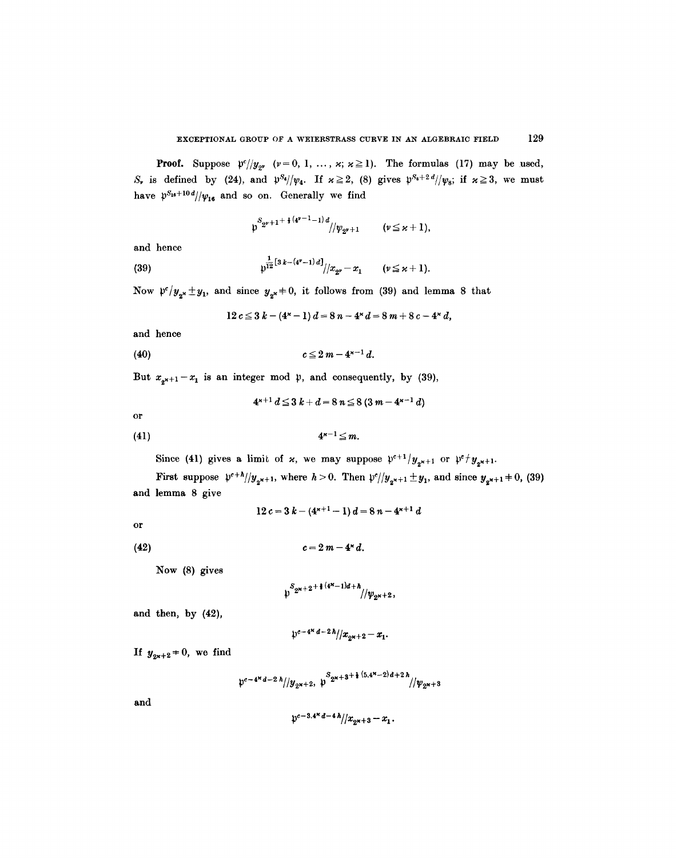**Proof.** Suppose  $p^{c}/y_{2^{y}}$   $(v=0, 1, ..., x; x \ge 1)$ . The formulas (17) may be used,  $S_r$  is defined by (24), and  $\frac{pS_4}{\psi_4}$ . If  $x \ge 2$ , (8) gives  $\frac{pS_8 + 2d}{\psi_8}$ ; if  $x \ge 3$ , we must have  $p^{S_{16}+10d}/v_{16}$  and so on. Generally we find

$$
p^{S_{2^{\nu}+1}+\frac{2}{3}(4^{\nu-1}-1)d}/\psi_{2^{\nu}+1}
$$
  $(\nu \leq \varkappa+1),$ 

and hence

(39) 
$$
\qquad \qquad \mathfrak{p}^{\frac{1}{12}[3k-(4^{\nu}-1)d]} / |x_{2^{\nu}}-x_1 \qquad (\nu \leq \varkappa+1).
$$

Now  $\mathfrak{p}^c/y_{2^{\mathbf{x}}} \pm y_1$ , and since  $y_{2^{\mathbf{x}}} \neq 0$ , it follows from (39) and lemma 8 that

$$
12 c \le 3 k - (4^{k}-1) d = 8 n - 4^{k} d = 8 m + 8 c - 4^{k} d,
$$

and hence

(40) 
$$
c \leq 2m - 4^{\kappa - 1} d.
$$

But  $x_{2^{x+1}}-x_1$  is an integer mod  $\mu$ , and consequently, by (39),

$$
4^{x+1} d \leq 3 k + d = 8 n \leq 8 (3 m - 4^{x-1} d)
$$

or

$$
(41) \t\t\t 4^{\kappa-1} \leq m.
$$

Since (41) gives a limit of x, we may suppose  $\mathfrak{p}^{c+1}/y_{2^{x+1}}$  or  $\mathfrak{p}^c/y_{2^{x+1}}$ .

First suppose  $\frac{p^{e+h}}{y_{2^{x+1}}}$ , where  $h > 0$ . Then  $\frac{p^{e}}{y_{2^{x+1}}} \pm y_1$ , and since  $y_{2^{x+1}} \pm 0$ , (39) and lemma 8 give

$$
12 c = 3 k - (4^{k+1} - 1) d = 8 n - 4^{k+1} d
$$

or

$$
(42) \t\t\t c=2\,m-4^{\times}\,d
$$

Now (8) gives

$$
\mathfrak{p}^{S_{2^{\kappa+2}+1}(4^{\kappa}-1)d+\hbar}/\mathfrak{p}_{2^{\kappa+2}},
$$

and then, by (42),

$$
\frac{1}{2}e^{-4x} \frac{d-2h}{x_{2x+2}-x_1}.
$$

If  $y_{2x+2} = 0$ , we find

$$
\mathfrak{p}^{c-4^{\kappa}d-2\lambda}/\mathfrak{p}_{2^{\kappa+2}}\mathfrak{p}_{2^{\kappa+3}}^{S_{2^{\kappa+3}}+\mathfrak{p}_{(5,4^{\kappa-2})d+2\lambda}}/\mathfrak{p}_{2^{\kappa+3}}
$$

and

$$
\mathfrak{p}^{c-3.4^{\varkappa}\,d-4\,\hbar}/\!/x_{2^{\varkappa+3}}-x_{1}.
$$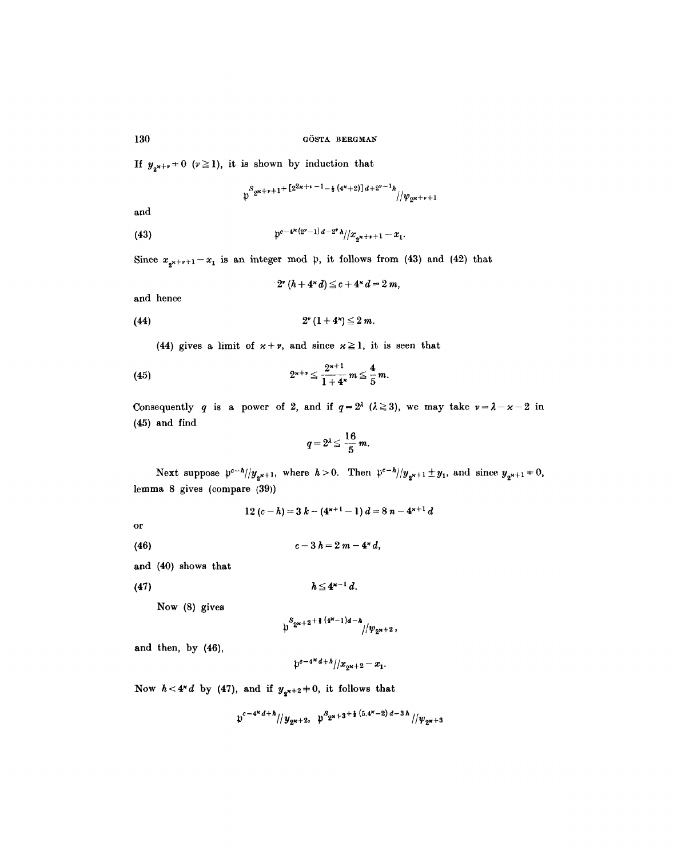If  $y_{2^{x+y}} = 0$  ( $\nu \ge 1$ ), it is shown by induction that

$$
\mathfrak{p}^{S_{2^{\kappa+\nu+1}+}[2^{2\kappa+\nu-1}-\frac{1}{4}(4^{\kappa}+2)]d+2^{\nu-1}h}{\scriptstyle{/\!\!/} \psi_{2^{\kappa+\nu+1}}}
$$

and

(43) 
$$
\qquad \qquad \mathfrak{p}^{c-4^{\kappa}(2^{\nu}-1) d-2^{\nu} h}/|x_{2^{\kappa}+{\nu}+1}-x_1.
$$

Since  $x_{2^{k+p+1}}-x_1$  is an integer mod  $\uparrow$ , it follows from (43) and (42) that

$$
2^{\nu} (h + 4^{\nu} d) \leq c + 4^{\nu} d = 2 m,
$$

and hence

(44) 
$$
2^{\nu} (1 + 4^{\nu}) \leq 2 m
$$
.

(44) gives a limit of  $x + \nu$ , and since  $x \ge 1$ , it is seen that

(45) 
$$
2^{x+r} \leq \frac{2^{x+1}}{1+4^x} m \leq \frac{4}{5} m.
$$

Consequently q is a power of 2, and if  $q=2^{\lambda}$  ( $\lambda \ge 3$ ), we may take  $\nu = \lambda - \varkappa - 2$  in (45) and find

$$
q=2^{\lambda}\leq \frac{16}{5}m.
$$

Next suppose  $\mathfrak{p}^{c-h}/|y_{2^{k+1}}$ , where  $h > 0$ . Then  $\mathfrak{p}^{c-h}/|y_{2^{k+1}} \pm y_1$ , and since  $y_{2^{k+1}} \neq 0$ , lemma 8 gives (compare (39))

$$
12(c-h) = 3k - (4^{k+1}-1)d = 8n - 4^{k+1}d
$$

or

- (46)  $c-3h=2m-4*d,$
- and (40) shows that
- (47)

Now (8) gives

$$
\psi^{S_{2^{\kappa+2}}+\frac{1}{2} (4^{\kappa}-1)d-\hbar}/\psi_{2^{\kappa+2}},
$$

 $h \leq 4^{x-1} d$ .

and then, by (46),

$$
\frac{1}{2}e^{-4\alpha d + h}/x_{2\alpha+2} - x_1.
$$

Now  $h < 4^{\kappa} d$  by (47), and if  $y_{2^{\kappa+2}} + 0$ , it follows that

$$
\mathfrak{p}^{c-4^{\kappa}d+h}/\mathfrak{p}_{2^{\kappa+2}}, \ \mathfrak{p}^{S_{2^{\kappa+3}}+ \frac{1}{2}(5.4^{\kappa}-2) d-3h}/\mathfrak{p}_{2^{\kappa+3}}
$$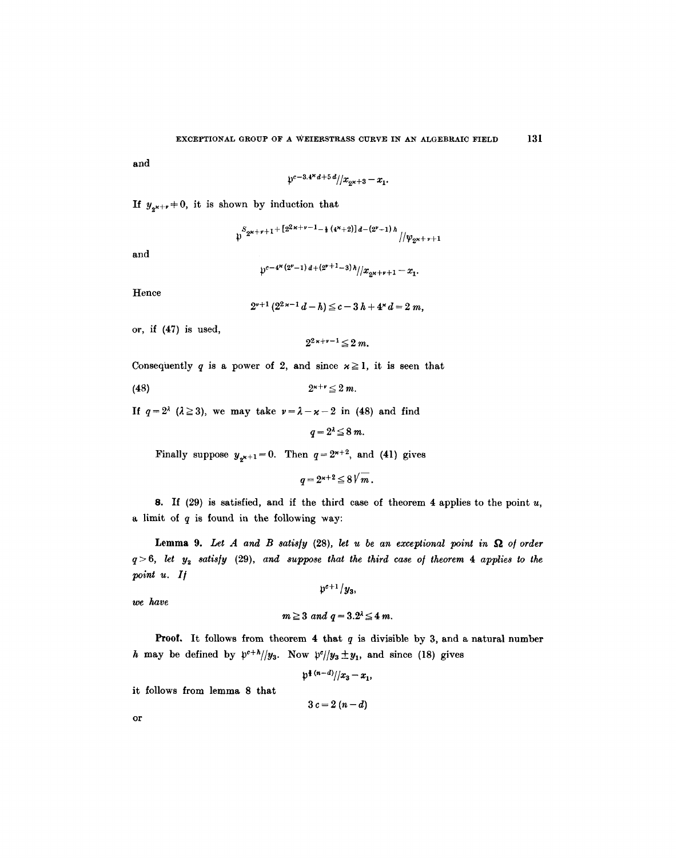and

$$
\mathfrak{p}^{c-3.4\cdot d}a^{d+5d}/x_{2^{\varkappa+3}}-x_{1}.
$$

If  $y_{2^{x+y}} \neq 0$ , it is shown by induction that

$$
\psi^{S_{2^{\kappa+\nu+1}+ \{2^{2\kappa+\nu-1}-\frac{1}{2}\, (4^{\kappa}+2)\}d-(2^{\nu}+1)\, h}}/|\psi_{2^{\kappa+\nu+1}}|
$$

and

$$
\mathfrak{p}^{c-4^{\varkappa}(2^{\nu}-1) d+(2^{\nu+1}-3) h}/x_{2^{\varkappa+\nu+1}}-x_{1}.
$$

Hence

$$
2^{\nu+1}(2^{2\kappa-1}d-h)\leq c-3h+4^{\kappa}d=2m,
$$

or, if (47) is used,

$$
2^{2\kappa+\nu-1}\leq 2\ m.
$$

Consequently q is a power of 2, and since  $x \ge 1$ , it is seen that

(48)  $2^{x+y} \le 2 m$ .

If  $q=2^{\lambda}$  ( $\lambda \ge 3$ ), we may take  $\nu = \lambda - \varkappa - 2$  in (48) and find

 $q=2^{\lambda} \leq 8$  m.

Finally suppose  $y_{2^{k+1}}=0$ . Then  $q=2^{k+2}$ , and (41) gives

 $q = 2^{k+2} \leq 8\sqrt{m}$ .

8. If  $(29)$  is satisfied, and if the third case of theorem 4 applies to the point u, a limit of  $q$  is found in the following way:

**Lemma 9.** Let A and B satisfy  $(28)$ , let u be an exceptional point in  $\Omega$  of order *q> 6, let Yz satis/y* (29), *and suppose that the third case of theorem 4 applies to the point u. I/* 

 $p^{c+1}/y_3$ 

*we have* 

$$
m\geq 3 \ and \ q=3.2^{\lambda}\leq 4\ m.
$$

**Proof.** It follows from theorem 4 that  $q$  is divisible by 3, and a natural number h may be defined by  $p^{e+h}/y_3$ . Now  $p^e/|y_3 \pm y_1$ , and since (18) gives

$$
\frac{p^{(n-d)}}{x_3-x_1}
$$

it follows from lemma 8 that

$$
3c=2(n-d)
$$

or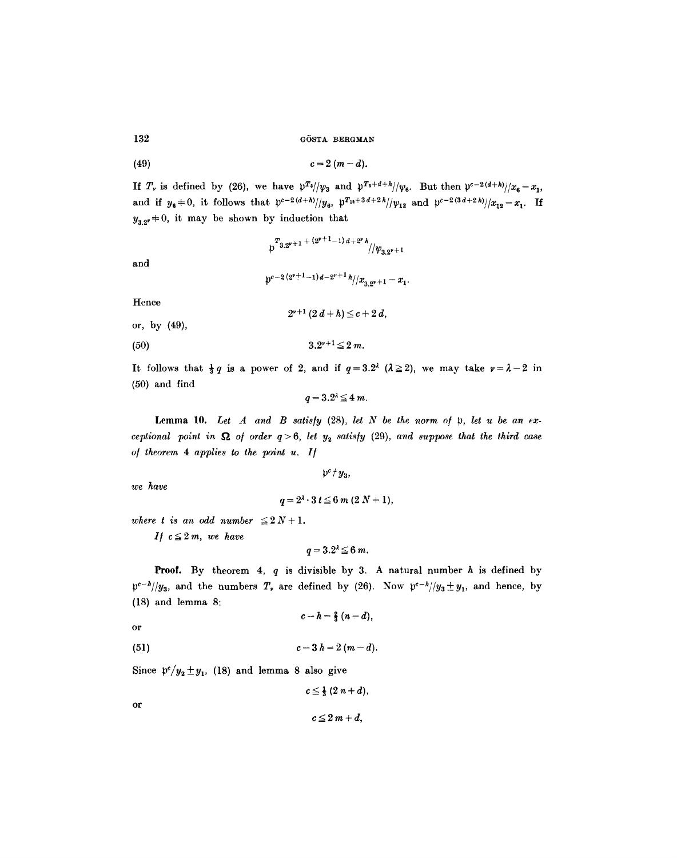$$
(49) \t\t\t c=2(m-d).
$$

If  $T_r$  is defined by (26), we have  $p^{T_3}/\psi_3$  and  $p^{T_6+d+h}/\psi_6$ . But then  $p^{c-2(d+h)}/x_6-x_1$ , and if  $y_6 + 0$ , it follows that  $p^{c-2(d+h)}/y_6$ ,  $p^{T_{12}+3d+2h}/y_{12}$  and  $p^{c-2(3d+2h)}/x_{12}-x_1$ . If  $y_{3.2}$ +0, it may be shown by induction that

$$
\mathfrak{p}^{T_{3,2^{v}+1}+(2^{v+1}-1) d+2^v h}/\mathfrak{p}_{3,2^{v}+1}
$$

and

$$
\mathfrak{p}^{c-2\,(2^{\nu+1}-1)\,d-2^{\nu+1}\,\hbar}/\mathfrak{p}_{3,2^{\nu+1}}-x_1.
$$

 $2^{v+1} (2d+h) \leq c+ 2d,$ 

Hence

or, by 
$$
(49)
$$
,

(50)  $3.2^{r+1} \leq 2 m$ .

It follows that  $\frac{1}{3}q$  is a power of 2, and if  $q=3.2^{\lambda}$  ( $\lambda \ge 2$ ), we may take  $\nu=\lambda-2$  in (50) and find

$$
q=3.2^{\lambda}\leq 4\ m.
$$

Lemma 10. *Let A and B satis/y* (28), *let N be the norm of p, let u be an exceptional point in*  $\Omega$  *of order q* > 6, *let y<sub>2</sub> satisfy* (29), *and suppose that the third case of theorem 4 applies to the point u. I/* 

*we have* 

$$
q=2^{\lambda}\cdot 3\ t\leq 6\ m\ (2\ N+1),
$$

 $p^c / y_3$ ,

*where t is an odd number*  $\leq 2 N + 1$ .

*If*  $c \leq 2m$ *, we have* 

$$
q=3.2^{\lambda}\leq 6\ m.
$$

**Proof.** By theorem 4,  $q$  is divisible by 3. A natural number  $h$  is defined by  $p^{c-h}/y_3$ , and the numbers  $T_r$  are defined by (26). Now  $p^{c-h}/y_3 \pm y_1$ , and hence, by (18) and lemma 8:

$$
c-h=\tfrac{2}{3}(n-d),
$$

or

(51) 
$$
c-3 h = 2 (m-d).
$$

Since  $p'/y_2 \pm y_1$ , (18) and lemma 8 also give

$$
c\leq \frac{1}{3}(2n+d),
$$

or

$$
c\leq 2m+d,
$$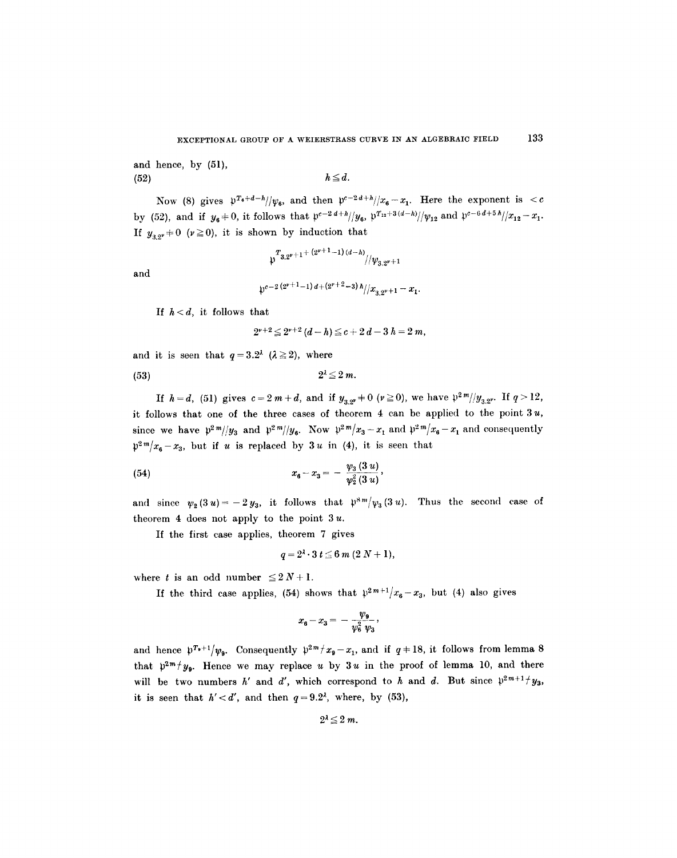and hence, by (51),  $h \leq d.$ 

Now (8) gives  $p^{T_6+d-h}/\psi_6$ , and then  $p^{c-2d+h}/x_6-x_1$ . Here the exponent is <c by (52), and if  $y_6 + 0$ , it follows that  $\frac{\rho^{c-2 d + h}}{y_6}$ ,  $\frac{\rho^{T_{12}+3(d-h)}}{\rho^{T_{12}+3(d-h)}}$ , and  $\frac{\rho^{c-6d+5 h}}{x_{12}-x_1}$ . If  $y_{3,2} \neq 0$  ( $\nu \ge 0$ ), it is shown by induction that

$$
\sqrt[n]{\frac{T_{3,2^{\nu}+1}+\left(2^{\nu+1}-1\right)(d-h)}{\nu_{3,2^{\nu}+1}}}
$$

and

$$
\mathfrak{p}^{c-2\,(2^{\nu+1}-1)\,d+(2^{\nu+2}-3)\,h}/x_{3,2^{\nu+1}}-x_1.
$$

If  $h < d$ , it follows that

$$
2^{r+2} \leq 2^{r+2} (d-h) \leq c+2d-3h=2m,
$$

and it is seen that  $q=3.2^{\lambda}$  ( $\lambda \ge 2$ ), where

$$
(53) \t\t\t 2^{\lambda} \leq 2 m.
$$

If  $h=d$ , (51) gives  $c=2m+d$ , and if  $y_{3,2}+0$  ( $\nu \ge 0$ ), we have  $\frac{\nu^2 m}{y_{3,2}}$ . If  $q>12$ , it follows that one of the three cases of theorem  $4$  can be applied to the point  $3u$ , since we have  $p^2m/|y_3|$  and  $p^2m/|y_6|$ . Now  $p^2m/x_3-x_1$  and  $p^2m/x_6-x_1$  and consequently  $p^{2m}/x_6-x_3$ , but if u is replaced by 3u in (4), it is seen that

(54) 
$$
x_6-x_3=-\frac{\psi_3(3u)}{\psi_2^2(3u)},
$$

and since  $\psi_2(3u)=-2y_3$ , it follows that  $\psi_3^{\otimes m}/\psi_3(3u)$ . Thus the second case of theorem 4 does not apply to the point  $3u$ .

If the first case applies, theorem 7 gives

$$
q=2^{\lambda}\cdot 3\ t\leq 6\ m\ (2\ N+1),
$$

where t is an odd number  $\leq 2N+1$ .

If the third case applies, (54) shows that  $p^{2m+1}/x_6-x_3$ , but (4) also gives

$$
x_6-x_3=-\,\frac{\psi_9}{\psi_6^2\,\psi_3}\,,
$$

and hence  $p^{T_0+1}/v_0$ . Consequently  $p^{2m}/x_0-x_1$ , and if  $q+18$ , it follows from lemma 8 that  $p^{2m} / y_{0}$ . Hence we may replace u by 3u in the proof of lemma 10, and there will be two numbers h' and d', which correspond to h and d. But since  $\mathfrak{p}^{2m+1}$  /  $y_3$ , it is seen that  $h' < d'$ , and then  $q = 9.2<sup>2</sup>$ , where, by (53),

$$
2^{\lambda} \leq 2 m.
$$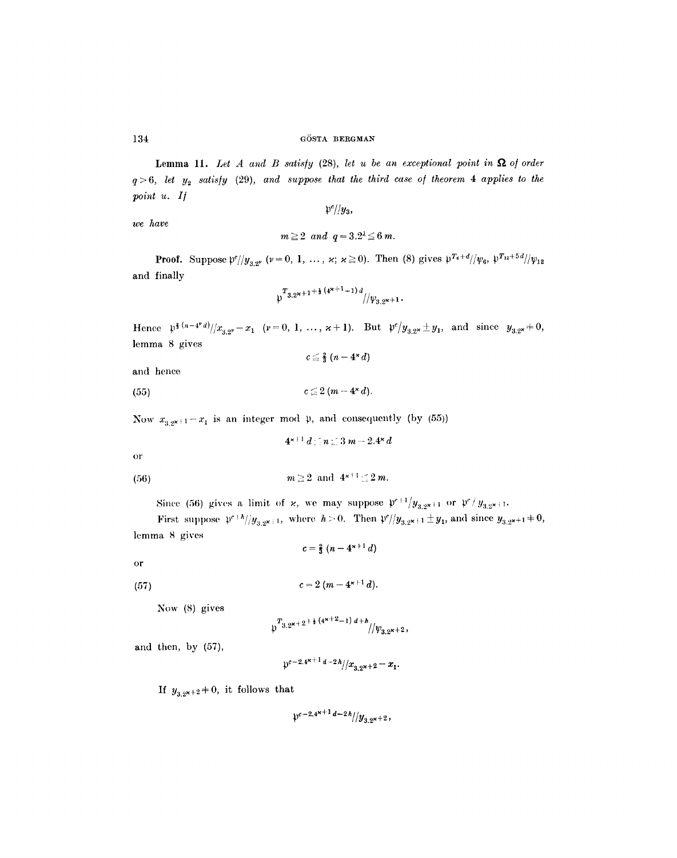**Lemma 11.** Let A and B satisfy  $(28)$ , let u be an exceptional point in  $\Omega$  of order  $q>6$ , let  $y_2$  satisfy (29), and suppose that the third case of theorem 4 applies to the *point u. I/* 

*we have* 

 $m\geq 2$  and  $q=3.2^{\lambda}\leq 6$  m.

 $\mathfrak{p}^c$ //*y*<sub>3</sub>,

**Proof.** Suppose  $\frac{\varphi}{y_{3,2^{\nu}}}$  ( $\nu = 0, 1, ..., x; \alpha \ge 0$ ). Then (8) gives  $\frac{\varphi}{x_{4} + d}}{\varphi_{6}, \frac{\varphi}{x_{12} + 5d}}{\varphi_{12}}$ and finally

$$
\sqrt[n]{\frac{T_{3.2^{x+1}}+\frac{1}{2}(4^{x+1}+1)}{4}}i/\psi_{3.2^{x+1}}.
$$

Hence  $\mathfrak{p}^{\frac{1}{3}(n-4^{\nu}d)}/x_{3,2^{\nu}}-x_1$  ( $\nu=0, 1, ..., \varkappa+1$ ). But  $\mathfrak{p}^c/y_{3,2^{\varkappa}}\pm y_1$ , and since  $y_{3,2^{\varkappa}}+0$ , lemma 8 gives  $c \leq \frac{2}{3} (n-4^{*}d)$ 

```
and hence
```
(55)  $c \leq 2 (m - 4 \times d).$ 

Now  $x_{3,2x+1}-x_1$  is an integer mod  $\mu$ , and consequently (by (55))

 $4^{x+1} d \leq n \leq 3 m - 2.4^x d$ 

or

$$
(56) \t\t\t\t m \ge 2 \text{ and } 4^{\varkappa+1} \le 2m.
$$

Since (56) gives a limit of  $\varkappa$ , we may suppose  $\mathfrak{p}^{c+1}/y_{3,2^{\kappa+1}}$  or  $\mathfrak{p}^c/y_{3,2^{\kappa+1}}$ .

First suppose  $\mathfrak{p}^{e+h}/y_{3,2^{k+1}}$ , where  $h > 0$ . Then  $\mathfrak{p}^{e}}/y_{3,2^{k+1}} \pm y_1$ , and since  $y_{3,2^{k+1}} \pm 0$ , lemma 8 gives

 $c=\frac{2}{3}(n-4^{x+1}d)$ 

$$
\quad \text{or} \quad
$$

(57) 
$$
c = 2 (m - 4^{x+1} d).
$$

Now (8) gives

$$
\sqrt[n]{\frac{T_{3.2^{x+2^{+\frac{1}{3}}(4^{x+2}-1)}d+h}}{|\psi_{3.2^{x+2}}|}}
$$

and then, by (57),

$$
\int_0^{\infty} e^{-2.4x+1} d^{-2h} / x_{3.2x+2} - x_1.
$$

If  $y_{3.2^{x+2}} \neq 0$ , it follows that

$$
\mathfrak{p}^{c-2.4^{\kappa+1}d-2h}/y_{3.9^{\kappa+2}},
$$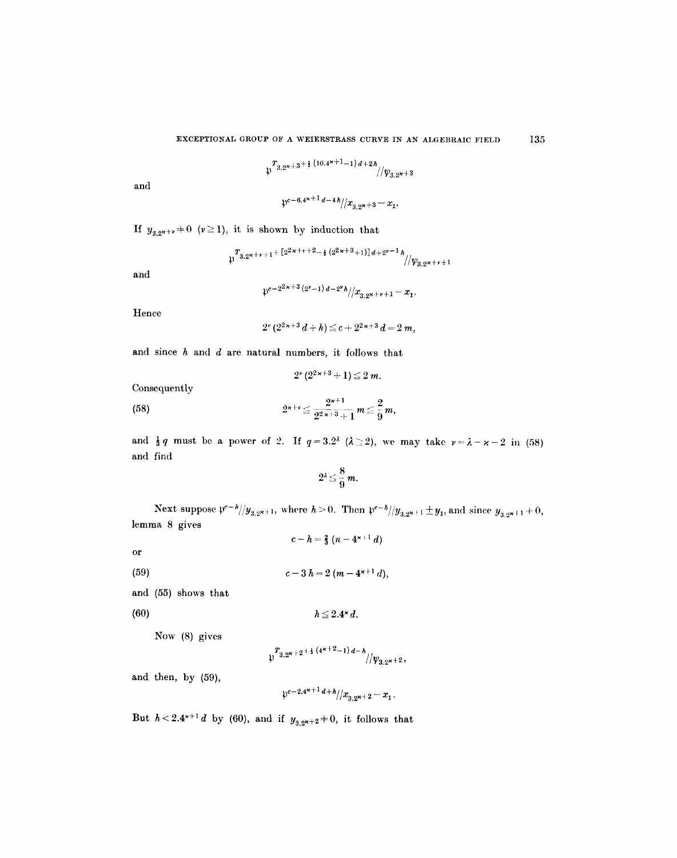$$
\mathfrak{p}^{T_{3,2^{k+3}+\frac{1}{3}(10.4^{\kappa+1}-1)d+2h}}/\!/\psi_{3,2^{k+3}}
$$

and

$$
\mathfrak{p}^{c-6.4^{\varkappa+1}\,d-4\,\hbar}/\!/x_{3.2^{\varkappa+3}}-x_1.
$$

**If**  $y_{3,2^{x+y}} \neq 0$  ( $y \ge 1$ ), it is shown by induction that

$$
\mathfrak{p}^{T_{3,2^{x+v+1}+[2^{2x+v+2}-\frac{1}{3}(2^{2x+3}+1)]d+2^{v-1}h}}\!/\!/\!y_{3,2^{x+v+1}}
$$

and

$$
\beta^{c-2^{2\kappa+3}(2^{\nu}-1) d-2^{\nu}h}/x_{3\cdot 2^{\kappa+\nu}+1}-x_1.
$$

Hence

$$
2^{\nu} \, (2^{2 \, \varkappa+3} \, d+h) \leq c+2^{2 \, \varkappa+3} \, d=2 \, \textit{m},
$$

 $2^{\nu}(2^{2\kappa+3}+1) \leq 2m$ .

and since  $h$  and  $d$  are natural numbers, it follows that

Consequently

(58) 
$$
2^{x+\nu} \leq \frac{2^{x+1}}{2^{2x+3}+1} m \leq \frac{2}{9} m,
$$

and  $\frac{1}{3}q$  must be a power of 2. If  $q=3.2^{\lambda}$  ( $\lambda \geq 2$ ), we may take  $\nu=\lambda-\varkappa-2$  in (58) and find

$$
2^{\lambda} \leq \frac{8}{9} m.
$$

Next suppose  $\mathfrak{p}^{c-k}/y_{3,2^{k+1}}$ , where  $h > 0$ . Then  $\mathfrak{p}^{c-k}/y_{3,2^{k+1}} \pm y_1$ , and since  $y_{3,2^{k+1}} \pm 0$ , lemma 8 gives

 $c-h=\frac{2}{3}(n-4^{k+1} d)$ 

or

(59)  $c-3 h= 2 (m-4<sup>x+1</sup> d),$ 

and (55) shows that

(6O)

Now (8) gives

$$
\psi^{T_{3,2^{x+2+\frac{1}{3}(4^{x+2}-1) d-h}}/\psi_{3,2^{x+2}},
$$

 $h \leq 2.4^{\star} d$ .

and then, by (59),

$$
\mathfrak{p}^{c-2.4^{\varkappa+1}d+h}/x_{3.2^{\varkappa+2}}-x_1.
$$

But  $h < 2.4^{x+1} d$  by (60), and if  $y_{3.2^{x+2}} \neq 0$ , it follows that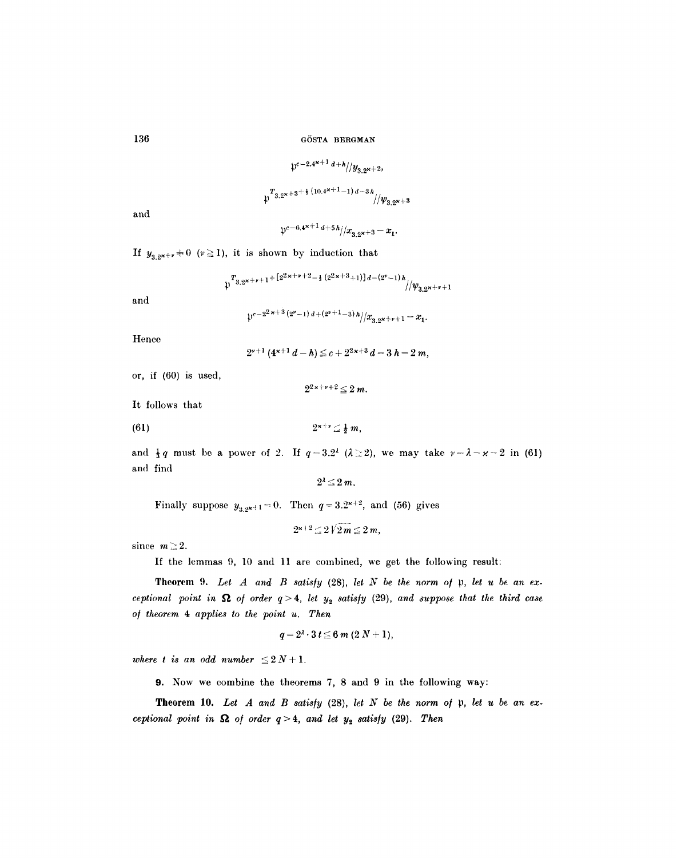$$
\mathcal{V}^{c-2.4^{k+1} d+h}/y_{3.2^{k+2}},
$$
  

$$
\int_{0}^{T} 3.2^{k+3+\frac{1}{2}(10.4^{k+1}-1) d-3h}/y_{10}
$$

and

 $\psi^{c-6.4^{\varkappa+1}\,d+5\,h}/x_{3.2^{\varkappa+3}}-x_1.$ 

If  $y_{3.2^{x+y}} \neq 0$  ( $\nu \ge 1$ ), it is shown by induction that

$$
\psi^{T_{3,2^{x+\nu+1}+\left[2^{2x+\nu+2}-\frac{1}{2}\left(2^{2x+3}+1\right)\right]d-(2^{\nu}-1)h}}_{\text{max}}/(\psi_{3,2^{x+\nu+1}})
$$

and

$$
\psi^{c-2^{2\kappa+3}(2^{\nu}-1) d+(2^{\nu+1}-3) h}/x_{3\sqrt{2^{2\kappa}+1}}-x_1.
$$

Hence

$$
2^{r+1} (4^{r+1} d - h) \leq c + 2^{2r+3} d - 3 h = 2 m,
$$

or, if (60) is used,

 $2^{2\times+\nu+2} \leq 2 \, m.$ 

It follows that

(61)  $2^{x+\nu} \leq \frac{1}{2} m$ ,

and  $\frac{1}{3}q$  must be a power of 2. If  $q=3.2^{\lambda}$  ( $\lambda \geq 2$ ), we may take  $\nu=\lambda-\varkappa-2$  in (61) and find

$$
2^{\lambda} \leq 2 m.
$$

Finally suppose  $y_{3,2^{k+1}} = 0$ . Then  $q = 3.2^{k+2}$ , and (56) gives

$$
2^{\varkappa+2}\leq 2\sqrt{2m}\leq 2m,
$$

since  $m \geq 2$ .

If the lemmas 9, 10 and 11 are combined, we get the following result:

Theorem 9. Let  $A$  and  $B$  satisfy (28), let  $N$  be the norm of  $\mathfrak p$ , let  $u$  be an ex*ceptional point in*  $\Omega$  *of order q* > 4, *let*  $y_2$  *satisfy* (29), *and suppose that the third case o/ theorem 4 applies to the point u. Then* 

$$
q=2^{\lambda}\cdot 3\,t\leq 6\,m\,(2\,N+1),
$$

*where t is an odd number*  $\leq 2 N + 1$ .

9. Now we combine the theorems 7, 8 and 9 in the following way:

Theorem 10. Let A and B satisfy (28), let N be the norm of  $\mathfrak p$ , let u be an ex*ceptional point in*  $\Omega$  *of order q* > 4, *and let y<sub>2</sub> satisfy* (29). Then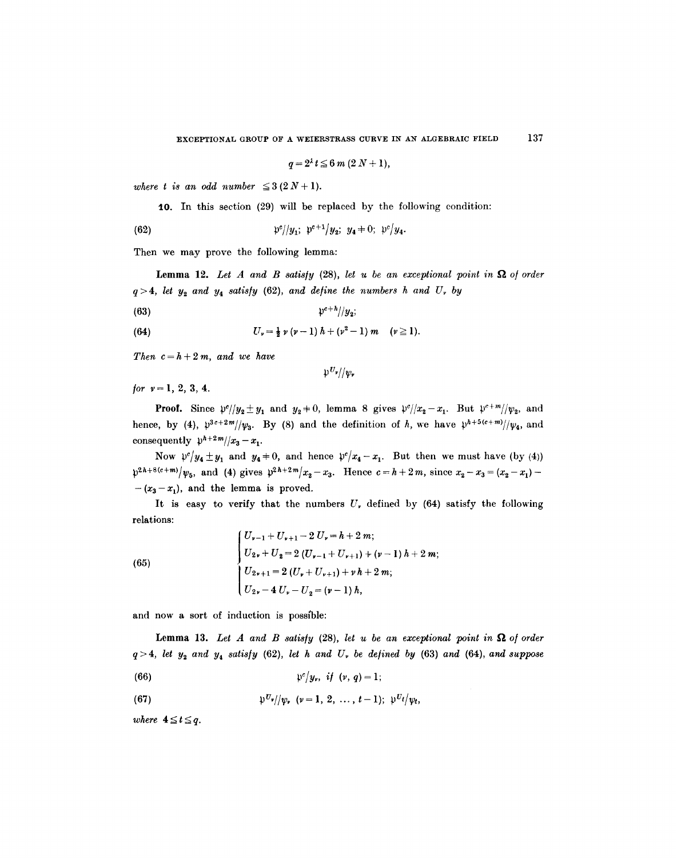$$
q=2^{\lambda}t\leq 6\ m\ (2\ N+1),
$$

*where t is an odd number*  $\leq 3(2N+1)$ .

10. In this section (29) will be replaced by the following condition:  $\sim$ 

(62) 
$$
\mathfrak{p}^c / |y_1; \; \mathfrak{p}^{c+1} / y_2; \; y_4 \neq 0; \; \mathfrak{p}^c / y_4.
$$

Then we may prove the following lemma:

**Lemma 12.** Let A and B satisfy  $(28)$ , let u be an exceptional point in  $\Omega$  of order  $q > 4$ , let  $y_2$  and  $y_4$  satisfy (62), and define the numbers h and U<sub>r</sub> by

(63) *pc+h//y2;* 

(64) 
$$
U_{\nu} = \frac{1}{2} \nu (\nu - 1) h + (\nu^2 - 1) m \quad (\nu \ge 1).
$$

*Then*  $c = h + 2m$ *, and we have* 

 $\mathfrak{p}^{U_{\mathfrak{p}}}/\mathfrak{p}_{\mathfrak{p}}$ 

for  $v=1, 2, 3, 4$ .

**Proof.** Since  $\frac{\psi}{y_2+y_1}$  and  $y_2\neq0$ , lemma 8 gives  $\frac{\psi}{x_2-x_1}$ . But  $\frac{\psi^{c+m}}{\psi_2}$ , and hence, by (4),  $\mathfrak{p}^{3c+2m}/\mathfrak{p}_3$ . By (8) and the definition of h, we have  $\mathfrak{p}^{h+5(c+m)}/\mathfrak{p}_4$ , and consequently  $\psi^{h+2m}/x_3 - x_1$ .

Now  $p^c/y_4+y_1$  and  $y_4=0$ , and hence  $p^c/x_4-x_1$ . But then we must have (by (4))  $p^{2h+8(c+m)}/\psi_5$ , and (4) gives  $p^{2h+2m}/x_2-x_3$ . Hence  $c = h+2m$ , since  $x_2-x_3=(x_2-x_1) -(x_3-x_1)$ , and the lemma is proved.

It is easy to verify that the numbers  $U_{\nu}$  defined by (64) satisfy the following relations:

(65)  

$$
\begin{cases}\nU_{\nu-1} + U_{\nu+1} - 2 U_{\nu} = h + 2 m; \\
U_{2\nu} + U_2 = 2 (U_{\nu-1} + U_{\nu+1}) + (\nu - 1) h + 2 m; \\
U_{2\nu+1} = 2 (U_{\nu} + U_{\nu+1}) + \nu h + 2 m; \\
U_{2\nu} - 4 U_{\nu} - U_2 = (\nu - 1) h,\n\end{cases}
$$

and now a sort of induction is possible:

**Lemma 13.** Let A and B satisfy  $(28)$ , let u be an exceptional point in  $\Omega$  of order  $q > 4$ , *let y<sub>2</sub> and y<sub>4</sub> satisfy* (62), *let h and U<sub>r</sub> be defined by* (63) *and* (64), *and suppose* 

(66)  $\mathfrak{p}^c/y_r$ , if  $(v, q) = 1$ ;

(67) 
$$
\qquad \qquad \mathfrak{p}^{U_{\nu}}//\psi_{\nu} \ \ (\nu=1, 2, \ldots, t-1); \ \ \mathfrak{p}^{U_{\ell}}/\psi_{t},
$$

*where*  $4 \le t \le q$ .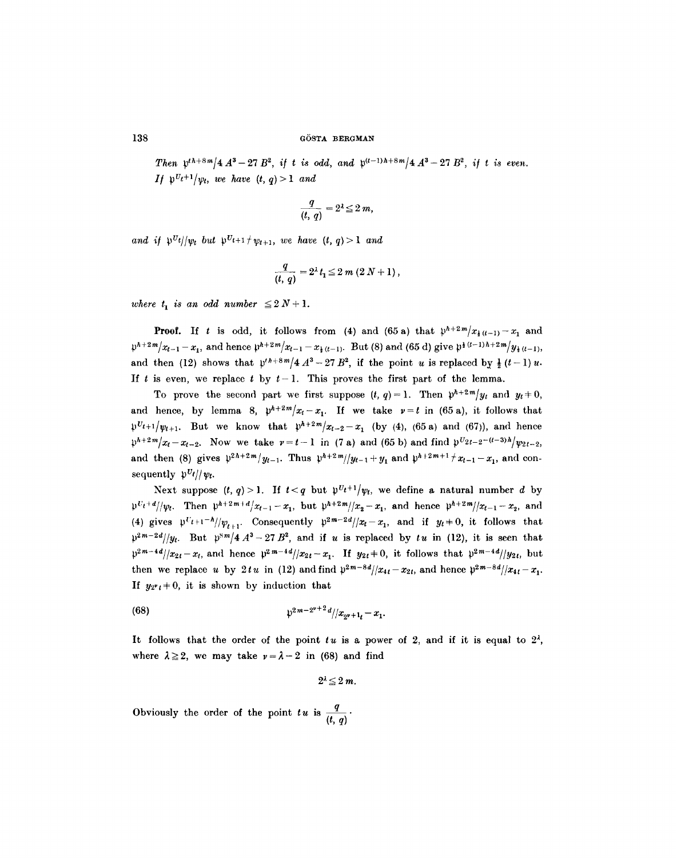*Then*  $p^{th+8m}/4A^3 - 27B^2$ , if t is odd, and  $p^{(t-1)h+8m}/4A^3 - 27B^2$ , if t is even. *If*  $p^{U_t+1}/p_t$ , we have  $(t, q) > 1$  and

$$
\frac{q}{(t, q)} = 2^{\lambda} \le 2 m,
$$

*and if*  $\mathfrak{p}^{U_t}/\mathfrak{p}_t$  *but*  $\mathfrak{p}^{U_{t+1}}/\mathfrak{p}_{t+1}$ *, we have (t, q)* > 1 *and* 

$$
\frac{q}{(t, q)} = 2^{\lambda} t_1 \leq 2 m (2 N + 1),
$$

*where*  $t_1$  *is an odd number*  $\leq 2 N + 1$ *.* 

**Proof.** If t is odd, it follows from (4) and (65 a) that  $p^{h+2m}/x_{k(l-1)}-x_1$  and  $p^{h+2m}/x_{t-1} - x_1$ , and hence  $p^{h+2m}/x_{t-1} - x_1$ <sub>(t-1)</sub>. But (8) and (65 d) give  $p^{h}(t-1)h+2m/y_1$ <sub>(t-1)</sub>, and then (12) shows that  $p^{th+8m}/4A^3-27B^2$ , if the point u is replaced by  $\frac{1}{2}(t-1)u$ . If t is even, we replace t by  $t-1$ . This proves the first part of the lemma.

To prove the second part we first suppose  $(t, q) = 1$ . Then  $p^{h+2m}/y_t$  and  $y_t \neq 0$ , and hence, by lemma 8,  $p^{h+2m}/x_t-x_1$ . If we take  $y=t$  in (65a), it follows that  $p^{U_{t+1}}/v_{t+1}$ . But we know that  $p^{k+2m}/x_{t-2}-x_1$  (by (4), (65 a) and (67)), and hence  $p^{h+2m}/x_t-x_{t-2}$ . Now we take  $r=t-1$  in (7 a) and (65 b) and find  $p^{U_{2t-2}-(t-3)h}/y_{2t-2}$ , and then (8) gives  $\frac{p^2h+2m}{y_{t-1}}$ . Thus  $\frac{p^{k+2m}}{y_{t-1}+y_1}$  and  $\frac{p^{k+2m+1}}{x_{t-1}-x_1}$ , and consequently  $\frac{\partial v_i}{\partial y_i}$ .

Next suppose  $(t, q) > 1$ . If  $t < q$  but  $p^{U_t+1}/\psi_t$ , we define a natural number d by  $\frac{\partial^k u}{\partial t}$  Then  $\frac{\partial^{k+2m+d}}{\partial x_{i-1}-x_i}$ , but  $\frac{\partial^{k+2m}}{\partial x_2-x_i}$ , and hence  $\frac{\partial^{k+2m}}{\partial x_{i-1}-x_2}$ , and (4) gives  $\mathfrak{p}^{U}t+1^{-h}/\psi_{t+1}$ . Consequently  $\mathfrak{p}^{2m-2d}/|x_t-x_1|$ , and if  $y_t+0$ , it follows that  $p^{2m-2d}/y_t$ . But  $p^{8m}/4A^3-27B^2$ , and if *u* is replaced by *tu* in (12), it is seen that  $p^{2m-4d}/x_{2t}-x_t$ , and hence  $p^{2m-4d}/x_{2t}-x_t$ . If  $y_{2t}+0$ , it follows that  $p^{2m-4d}/y_{2t}$ , but then we replace u by  $2tu$  in (12) and find  $p^{2m-8d}/x_{4t}-x_{2t}$ , and hence  $p^{2m-8d}/x_{4t}-x_{1}$ . If  $y_{2^{\nu}t} \neq 0$ , it is shown by induction that

(68) 
$$
\qquad \qquad \mathfrak{p}^{2m-2^{\nu+2}d}/|x_{\nu+1} - x_1.
$$

It follows that the order of the point  $tu$  is a power of 2, and if it is equal to  $2<sup>2</sup>$ , where  $\lambda \geq 2$ , we may take  $\nu = \lambda - 2$  in (68) and find

$$
2^{\lambda} \leq 2 m.
$$

Obviously the order of the point  $tu$  is  $\frac{q}{(t, q)}$ .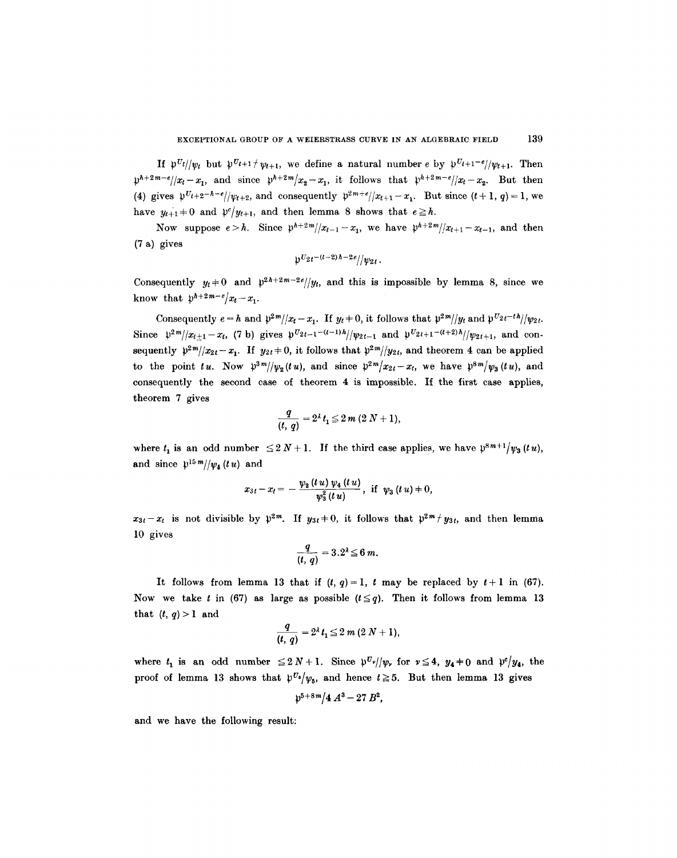If  $p^{U_t}/\psi_t$  but  $p^{U_{t+1}}/ \psi_{t+1}$ , we define a natural number e by  $p^{U_{t+1}-e}/\psi_{t+1}$ . Then  $p^{h+2m-e}/|x_t-x_1|$ , and since  $p^{h+2m}/x_2-x_1$ , it follows that  $p^{h+2m-e}/|x_t-x_2|$ . But then (4) gives  $\psi^{U}t+2^{-h-e}/\psi_{t+2}$ , and consequently  $\psi^{2m+e}/|x_{t+1}-x_1|$ . But since  $(t+1, q)=1$ , we have  $y_{t+1}$   $\neq$  0 and  $\mathfrak{p}^c/y_{t+1}$ , and then lemma 8 shows that  $e \geq h$ .

Now suppose  $e > h$ . Since  $\frac{p^{h+2m}}{x_{t-1}-x_1}$ , we have  $\frac{p^{h+2m}}{x_{t+1}-x_{t-1}}$ , and then (7 a) gives

$$
\mathfrak{p}^{U_{2t}-(t-2)h-2e}/\mathfrak{p}_{2t}.
$$

Consequently  $y_t=0$  and  $p^{2h+2m-2e}/y_t$ , and this is impossible by lemma 8, since we know that  $p^{h+2m-e}/x_t-x_1$ .

Consequently  $e = h$  and  $p^{2m}/|x_t - x_1|$ . If  $y_t \neq 0$ , it follows that  $p^{2m}/|y_t|$  and  $p^{U_{2t}-th}/|y_{2t}|$ . Since  $\frac{y^{2m}}{x_{t+1}-x_t}$ , (7 b) gives  $\frac{y^{U_{2t-1}-(t-1)h}}{y_{2t-1}}$  and  $\frac{y^{U_{2t+1}-(t+2)h}}{y_{2t+1}}$ , and consequently  $p^{2m}/x_{2t}-x_1$ . If  $y_{2t}=0$ , it follows that  $p^{2m}/y_{2t}$ , and theorem 4 can be applied to the point *tu*. Now  $p^{3m}/\psi_2(tu)$ , and since  $p^{2m}/x_{2t}-x_t$ , we have  $p^{8m}/\psi_3(tu)$ , and consequently the second case of theorem 4 is impossible. If the first case applies, theorem 7 gives

$$
\frac{q}{(t, q)} = 2^{\lambda} t_1 \leq 2 m (2 N + 1),
$$

where  $t_1$  is an odd number  $\leq 2N+1$ . If the third case applies, we have  $p^{8m+1}/v_3$  *(tu),* and since  $\mathfrak{p}^{15 m}/\mathfrak{p}_4$  (*tu*) and

$$
x_{3t}-x_{t}=-\frac{\psi_{2}(t\,u)\,\psi_{4}\left(t\,u\right)}{\psi_{3}^{2}\left(t\,u\right)},\,\,\text{if}\,\,\,\psi_{3}\left(t\,u\right)+0,
$$

 $x_{3t}-x_t$  is not divisible by  $\mathfrak{p}^{2m}$ . If  $y_{3t}+0$ , it follows that  $\mathfrak{p}^{2m}$   $\neq$   $y_{3t}$ , and then lemma 10 gives

$$
\frac{q}{(t, q)} = 3.2^{\lambda} \leq 6 m.
$$

It follows from lemma 13 that if  $(t, q) = 1$ , t may be replaced by  $t+1$  in (67). Now we take t in (67) as large as possible  $(t \leq q)$ . Then it follows from lemma 13 that  $(t, q) > 1$  and

$$
\frac{q}{(t, q)} = 2^{\lambda} t_1 \leq 2 m (2 N + 1),
$$

where  $t_1$  is an odd number  $\leq 2N+1$ . Since  $p_{\nu}/\psi_{\nu}$  for  $\nu \leq 4$ ,  $y_4+0$  and  $p_{\nu}/y_4$ , the proof of lemma 13 shows that  $p^{\sigma_s}/\psi_s$ , and hence  $t \ge 5$ . But then lemma 13 gives

$$
\mathfrak{p}^{5+8m}/4\,A^3-27\,B^2,
$$

and we have the following result: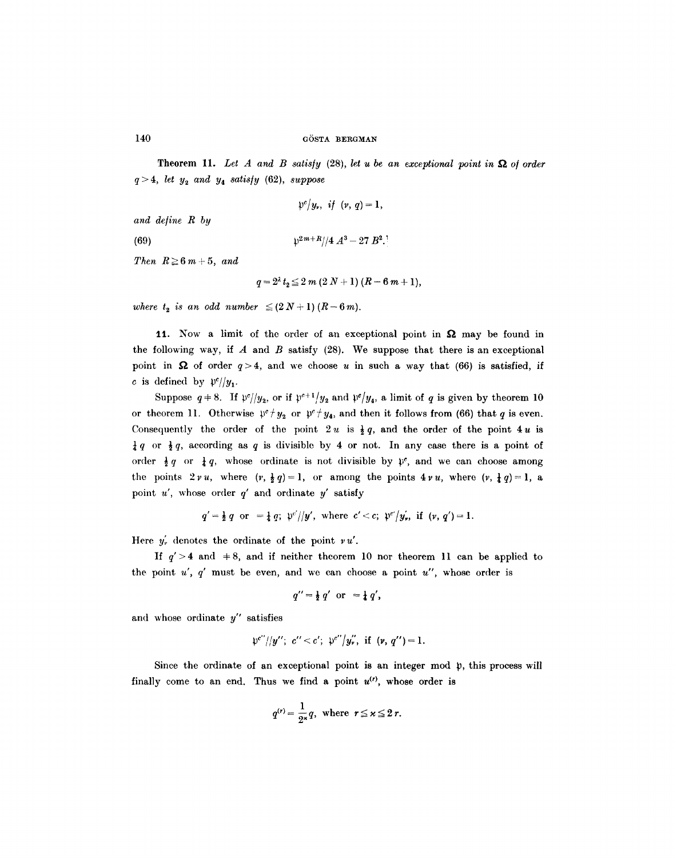Theorem 11. Let A and B satisfy  $(28)$ , *let u be an exceptional point in*  $\Omega$  of order  $q > 4$ , *let*  $y_2$  *and*  $y_4$  *satisfy* (62), *suppose* 

$$
\mathfrak{p}^c/y_r, \ \ if \ \ (v, q)=1,
$$

*and de/ine R by* 

(69)  $p^{2m+R}/4 A^3 - 27 B^2$ .<sup>1</sup>

*Then*  $R \geq 6m+5$ , and

$$
q = 2^{\lambda} t_2 \leq 2 m (2 N + 1) (R - 6 m + 1),
$$

*where*  $t_2$  *is an odd number*  $\leq$  (2N+1)(R-6m).

11. Now a limit of the order of an exceptional point in  $\Omega$  may be found in the following way, if  $A$  and  $B$  satisfy (28). We suppose that there is an exceptional point in  $\Omega$  of order  $q>4$ , and we choose u in such a way that (66) is satisfied, if c is defined by  $p^c$ // $y_1$ .

Suppose  $q = 8$ . If  $\mathfrak{p}^c / y_2$ , or if  $\mathfrak{p}^{c+1} / y_2$  and  $\mathfrak{p}^c / y_4$ , a limit of q is given by theorem 10 or theorem 11. Otherwise  $\psi^c / y_2$  or  $\psi^c / y_4$ , and then it follows from (66) that q is even. Consequently the order of the point  $2u$  is  $\frac{1}{2}q$ , and the order of the point  $4u$  is  $\frac{1}{4}q$  or  $\frac{1}{2}q$ , according as q is divisible by 4 or not. In any case there is a point of order  $\frac{1}{2}q$  or  $\frac{1}{4}q$ , whose ordinate is not divisible by  $\mathfrak{p}^c$ , and we can choose among the points  $2vu$ , where  $(v, \frac{1}{2}q) = 1$ , or among the points  $4vu$ , where  $(v, \frac{1}{4}q) = 1$ , a point  $u'$ , whose order  $q'$  and ordinate  $y'$  satisfy

$$
q' = \frac{1}{2} q
$$
 or  $= \frac{1}{4} q$ ;  $\mathfrak{p}^{c'}/|y'$ , where  $c' < c$ ;  $\mathfrak{p}^{c'}/y'_{r}$ , if  $(v, q') = 1$ .

Here  $y'_v$  denotes the ordinate of the point  $r u'$ .

If  $q' > 4$  and  $\pm 8$ , and if neither theorem 10 nor theorem 11 can be applied to the point  $u'$ ,  $q'$  must be even, and we can choose a point  $u''$ , whose order is

$$
q''=\tfrac{1}{2}q' \text{ or } =\tfrac{1}{4}q',
$$

and whose ordinate  $y''$  satisfies

$$
\mathfrak{p}^{c''}/|y''; c''< c'; \mathfrak{p}^{c''}/y''_v, \text{ if } (\mathfrak{v}, q'')=1.
$$

Since the ordinate of an exceptional point is an integer mod p, this process will finally come to an end. Thus we find a point  $u^{(r)}$ , whose order is

$$
q^{(r)} = \frac{1}{2^{\kappa}}q, \text{ where } r \leq \kappa \leq 2 r.
$$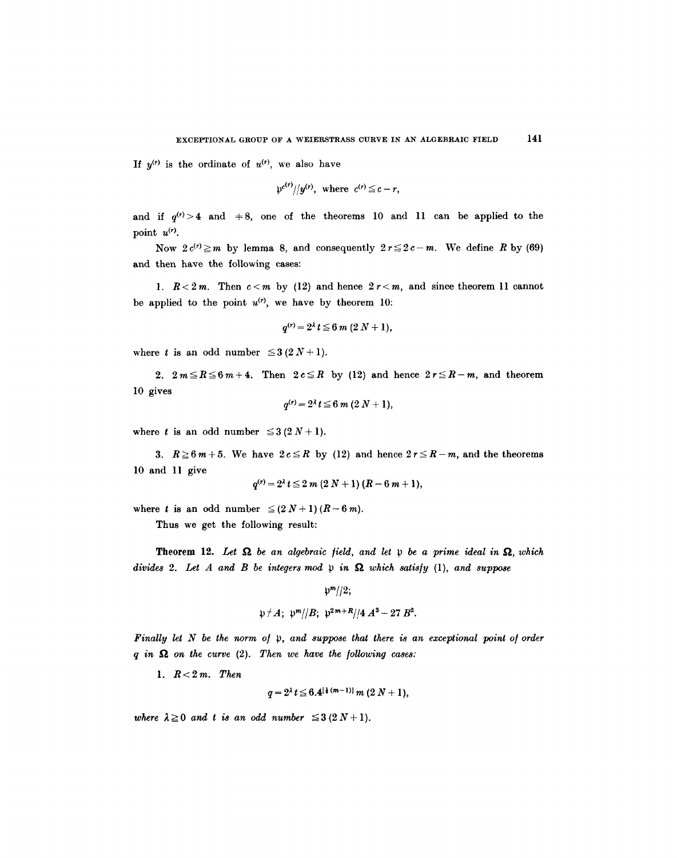If  $y^{(r)}$  is the ordinate of  $u^{(r)}$ , we also have

$$
\mathfrak{p}^{c(r)}/\mathfrak{p}(r), \text{ where } c^{(r)} \leq c-r,
$$

and if  $q^{(r)} > 4$  and  $\pm 8$ , one of the theorems 10 and 11 can be applied to the point  $u^{(r)}$ .

Now  $2c^{(r)} \ge m$  by lemma 8, and consequently  $2r \le 2c-m$ . We define R by (69) and then have the following cases:

1.  $R < 2m$ . Then  $c < m$  by (12) and hence  $2r < m$ , and since theorem 11 cannot be applied to the point  $u^{(r)}$ , we have by theorem 10:

$$
q^{(r)} = 2^{\lambda} t \leq 6 \, m \, (2 \, N + 1),
$$

where t is an odd number  $\leq 3(2N+1)$ .

2.  $2m \le R \le 6m+4$ . Then  $2c \le R$  by (12) and hence  $2r \le R-m$ , and theorem 10 gives

$$
q^{(r)} = 2^{\lambda} t \leq 6 \, m \, (2 \, N + 1),
$$

where t is an odd number  $\leq 3(2N+1)$ .

3.  $R \ge 6m+5$ . We have  $2c \le R$  by (12) and hence  $2r \le R-m$ , and the theorems l0 and 11 give

$$
q^{(r)} = 2^{\lambda} t \leq 2 m (2 N + 1) (R - 6 m + 1),
$$

where t is an odd number  $\leq (2N+1)(R-6m)$ .

Thus we get the following result:

**Theorem 12.** Let  $\Omega$  be an algebraic field, and let  $\nu$  be a prime ideal in  $\Omega$ , which *divides 2. Let A and B be integers mod p in*  $\Omega$  *which satisfy (1), and suppose* 

$$
\mathfrak{p}^m/|2;
$$
  

$$
\mathfrak{p} \neq A; \ \mathfrak{p}^m/|B; \ \mathfrak{p}^{2m+R}/|4 \ A^3 - 27 \ B^2.
$$

*Finally let N be the norm of p, and suppose that there is an exceptional point of order*  $q$  in  $\Omega$  on the curve (2). Then we have the following cases:

*1. R<2m. Then* 

 $q = 2^{\lambda} t \leq 6.4^{[\frac{1}{2}(m-1)]} m (2 N + 1),$ 

*where*  $\lambda \geq 0$  *and t is an odd number*  $\leq 3(2N+1)$ .